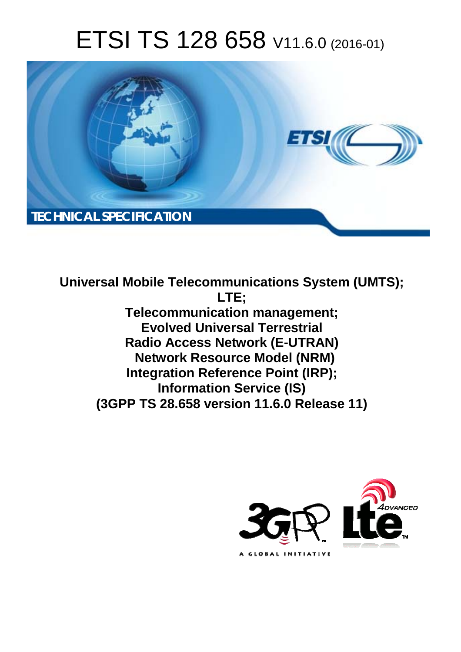# ETSI TS 128 658 V11.6.0 (2016-01)



**Universal Mobile Tel elecommunications System ( (UMTS); Telecomm munication management; Evolved Universal Terrestrial Radio Acc ccess Network (E-UTRAN) Network rk Resource Model (NRM) Integration Reference Point (IRP); Infor ormation Service (IS) (3GPP TS 28.6 .658 version 11.6.0 Release 11 11) LTE;** 

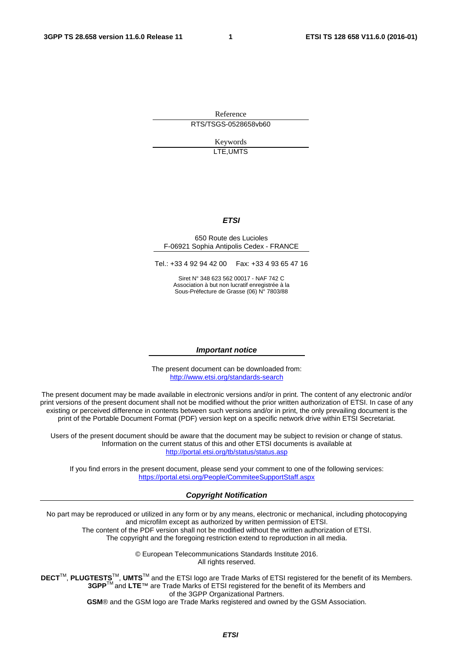Reference RTS/TSGS-0528658vb60

> Keywords LTE,UMTS

#### *ETSI*

#### 650 Route des Lucioles F-06921 Sophia Antipolis Cedex - FRANCE

Tel.: +33 4 92 94 42 00 Fax: +33 4 93 65 47 16

Siret N° 348 623 562 00017 - NAF 742 C Association à but non lucratif enregistrée à la Sous-Préfecture de Grasse (06) N° 7803/88

#### *Important notice*

The present document can be downloaded from: <http://www.etsi.org/standards-search>

The present document may be made available in electronic versions and/or in print. The content of any electronic and/or print versions of the present document shall not be modified without the prior written authorization of ETSI. In case of any existing or perceived difference in contents between such versions and/or in print, the only prevailing document is the print of the Portable Document Format (PDF) version kept on a specific network drive within ETSI Secretariat.

Users of the present document should be aware that the document may be subject to revision or change of status. Information on the current status of this and other ETSI documents is available at <http://portal.etsi.org/tb/status/status.asp>

If you find errors in the present document, please send your comment to one of the following services: <https://portal.etsi.org/People/CommiteeSupportStaff.aspx>

#### *Copyright Notification*

No part may be reproduced or utilized in any form or by any means, electronic or mechanical, including photocopying and microfilm except as authorized by written permission of ETSI.

The content of the PDF version shall not be modified without the written authorization of ETSI. The copyright and the foregoing restriction extend to reproduction in all media.

> © European Telecommunications Standards Institute 2016. All rights reserved.

**DECT**TM, **PLUGTESTS**TM, **UMTS**TM and the ETSI logo are Trade Marks of ETSI registered for the benefit of its Members. **3GPP**TM and **LTE**™ are Trade Marks of ETSI registered for the benefit of its Members and of the 3GPP Organizational Partners.

**GSM**® and the GSM logo are Trade Marks registered and owned by the GSM Association.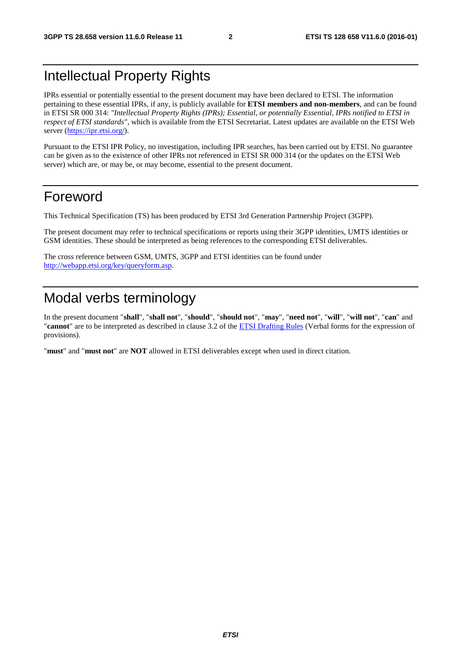### Intellectual Property Rights

IPRs essential or potentially essential to the present document may have been declared to ETSI. The information pertaining to these essential IPRs, if any, is publicly available for **ETSI members and non-members**, and can be found in ETSI SR 000 314: *"Intellectual Property Rights (IPRs); Essential, or potentially Essential, IPRs notified to ETSI in respect of ETSI standards"*, which is available from the ETSI Secretariat. Latest updates are available on the ETSI Web server [\(https://ipr.etsi.org/\)](https://ipr.etsi.org/).

Pursuant to the ETSI IPR Policy, no investigation, including IPR searches, has been carried out by ETSI. No guarantee can be given as to the existence of other IPRs not referenced in ETSI SR 000 314 (or the updates on the ETSI Web server) which are, or may be, or may become, essential to the present document.

### Foreword

This Technical Specification (TS) has been produced by ETSI 3rd Generation Partnership Project (3GPP).

The present document may refer to technical specifications or reports using their 3GPP identities, UMTS identities or GSM identities. These should be interpreted as being references to the corresponding ETSI deliverables.

The cross reference between GSM, UMTS, 3GPP and ETSI identities can be found under [http://webapp.etsi.org/key/queryform.asp.](http://webapp.etsi.org/key/queryform.asp)

### Modal verbs terminology

In the present document "**shall**", "**shall not**", "**should**", "**should not**", "**may**", "**need not**", "**will**", "**will not**", "**can**" and "**cannot**" are to be interpreted as described in clause 3.2 of the [ETSI Drafting Rules](http://portal.etsi.org/Help/editHelp!/Howtostart/ETSIDraftingRules.aspx) (Verbal forms for the expression of provisions).

"**must**" and "**must not**" are **NOT** allowed in ETSI deliverables except when used in direct citation.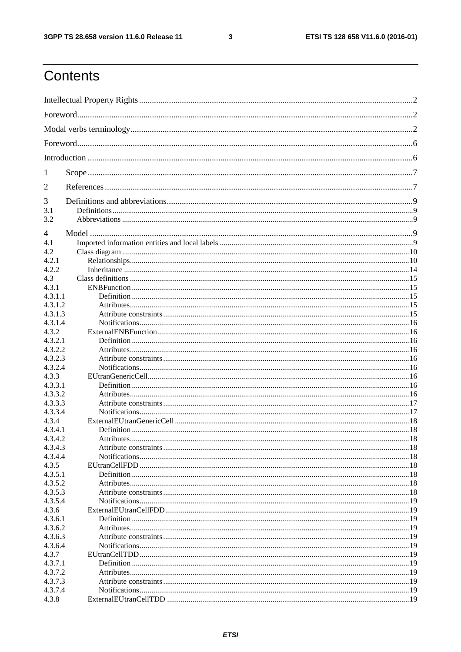$\mathbf{3}$ 

## Contents

| 1                  |  |  |  |  |  |
|--------------------|--|--|--|--|--|
| 2                  |  |  |  |  |  |
| 3                  |  |  |  |  |  |
| 3.1                |  |  |  |  |  |
| 3.2                |  |  |  |  |  |
| 4                  |  |  |  |  |  |
| 4.1                |  |  |  |  |  |
| 4.2                |  |  |  |  |  |
| 4.2.1              |  |  |  |  |  |
| 4.2.2              |  |  |  |  |  |
| 4.3                |  |  |  |  |  |
| 4.3.1              |  |  |  |  |  |
| 4.3.1.1            |  |  |  |  |  |
| 4.3.1.2            |  |  |  |  |  |
| 4.3.1.3            |  |  |  |  |  |
| 4.3.1.4            |  |  |  |  |  |
| 4.3.2              |  |  |  |  |  |
| 4.3.2.1            |  |  |  |  |  |
| 4.3.2.2<br>4.3.2.3 |  |  |  |  |  |
| 4.3.2.4            |  |  |  |  |  |
| 4.3.3              |  |  |  |  |  |
| 4.3.3.1            |  |  |  |  |  |
| 4.3.3.2            |  |  |  |  |  |
| 4.3.3.3            |  |  |  |  |  |
| 4.3.3.4            |  |  |  |  |  |
| 4.3.4              |  |  |  |  |  |
| 4.3.4.1            |  |  |  |  |  |
| 4.3.4.2            |  |  |  |  |  |
| 4.3.4.3            |  |  |  |  |  |
| 4.3.4.4            |  |  |  |  |  |
| 4.3.5              |  |  |  |  |  |
| 4.3.5.1            |  |  |  |  |  |
| 4.3.5.2            |  |  |  |  |  |
| 4.3.5.3            |  |  |  |  |  |
| 4.3.5.4            |  |  |  |  |  |
| 4.3.6              |  |  |  |  |  |
| 4.3.6.1            |  |  |  |  |  |
| 4.3.6.2            |  |  |  |  |  |
| 4.3.6.3            |  |  |  |  |  |
| 4.3.6.4<br>4.3.7   |  |  |  |  |  |
| 4.3.7.1            |  |  |  |  |  |
| 4.3.7.2            |  |  |  |  |  |
| 4.3.7.3            |  |  |  |  |  |
| 4.3.7.4            |  |  |  |  |  |
| 4.3.8              |  |  |  |  |  |
|                    |  |  |  |  |  |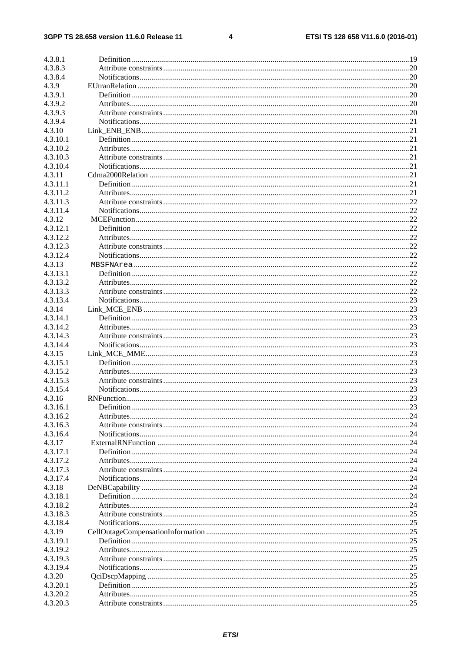#### $\overline{\mathbf{4}}$

| 4.3.8.1  |     |
|----------|-----|
| 4.3.8.3  |     |
| 4.3.8.4  |     |
| 4.3.9    |     |
| 4.3.9.1  |     |
| 4.3.9.2  |     |
| 4.3.9.3  |     |
| 4.3.9.4  |     |
| 4.3.10   |     |
| 4.3.10.1 |     |
| 4.3.10.2 |     |
| 4.3.10.3 |     |
| 4.3.10.4 |     |
| 4.3.11   |     |
| 4.3.11.1 |     |
| 4.3.11.2 |     |
| 4.3.11.3 |     |
| 4.3.11.4 |     |
| 4.3.12   |     |
| 4.3.12.1 |     |
| 4.3.12.2 |     |
| 4.3.12.3 |     |
| 4.3.12.4 |     |
| 4.3.13   |     |
| 4.3.13.1 |     |
| 4.3.13.2 |     |
| 4.3.13.3 |     |
| 4.3.13.4 |     |
| 4.3.14   |     |
| 4.3.14.1 |     |
| 4.3.14.2 |     |
| 4.3.14.3 |     |
| 4.3.14.4 |     |
| 4.3.15   |     |
| 4.3.15.1 |     |
| 4.3.15.2 |     |
| 4.3.15.3 |     |
| 4.3.15.4 |     |
| 4.3.16   |     |
| 4.3.16.1 |     |
| 4.3.16.2 |     |
| 4.3.16.3 |     |
| 4.3.16.4 |     |
| 4.3.17   |     |
| 4.3.17.1 |     |
| 4.3.17.2 |     |
| 4.3.17.3 |     |
| 4.3.17.4 |     |
| 4.3.18   |     |
| 4.3.18.1 |     |
| 4.3.18.2 | .24 |
| 4.3.18.3 |     |
| 4.3.18.4 |     |
| 4.3.19   |     |
| 4.3.19.1 |     |
| 4.3.19.2 |     |
| 4.3.19.3 |     |
| 4.3.19.4 |     |
| 4.3.20   |     |
| 4.3.20.1 |     |
| 4.3.20.2 |     |
| 4.3.20.3 |     |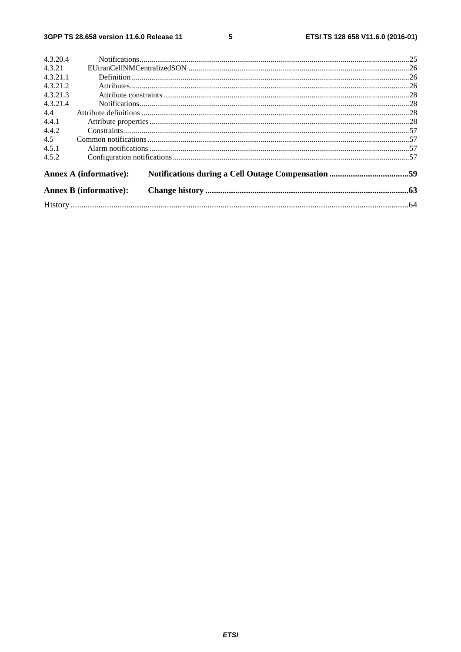$5\phantom{a}$ 

| 4.3.20.4 |                               |  |
|----------|-------------------------------|--|
| 4.3.21   |                               |  |
| 4.3.21.1 |                               |  |
| 4.3.21.2 |                               |  |
| 4.3.21.3 |                               |  |
| 4.3.21.4 |                               |  |
| 4.4      |                               |  |
| 4.4.1    |                               |  |
| 4.4.2    |                               |  |
| 4.5      |                               |  |
| 4.5.1    |                               |  |
| 4.5.2    |                               |  |
|          | <b>Annex A (informative):</b> |  |
|          | <b>Annex B</b> (informative): |  |
|          |                               |  |
|          |                               |  |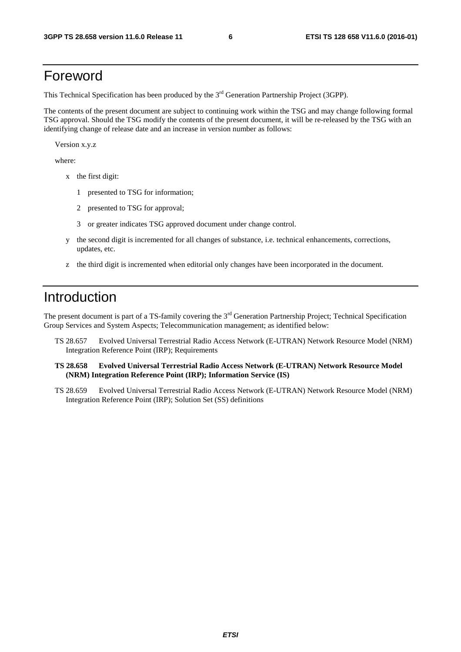### Foreword

This Technical Specification has been produced by the 3<sup>rd</sup> Generation Partnership Project (3GPP).

The contents of the present document are subject to continuing work within the TSG and may change following formal TSG approval. Should the TSG modify the contents of the present document, it will be re-released by the TSG with an identifying change of release date and an increase in version number as follows:

Version x.y.z

where:

- x the first digit:
	- 1 presented to TSG for information;
	- 2 presented to TSG for approval;
	- 3 or greater indicates TSG approved document under change control.
- y the second digit is incremented for all changes of substance, i.e. technical enhancements, corrections, updates, etc.
- z the third digit is incremented when editorial only changes have been incorporated in the document.

### Introduction

The present document is part of a TS-family covering the 3<sup>rd</sup> Generation Partnership Project; Technical Specification Group Services and System Aspects; Telecommunication management; as identified below:

- TS 28.657 Evolved Universal Terrestrial Radio Access Network (E-UTRAN) Network Resource Model (NRM) Integration Reference Point (IRP); Requirements
- **TS 28.658 Evolved Universal Terrestrial Radio Access Network (E-UTRAN) Network Resource Model (NRM) Integration Reference Point (IRP); Information Service (IS)**
- TS 28.659 Evolved Universal Terrestrial Radio Access Network (E-UTRAN) Network Resource Model (NRM) Integration Reference Point (IRP); Solution Set (SS) definitions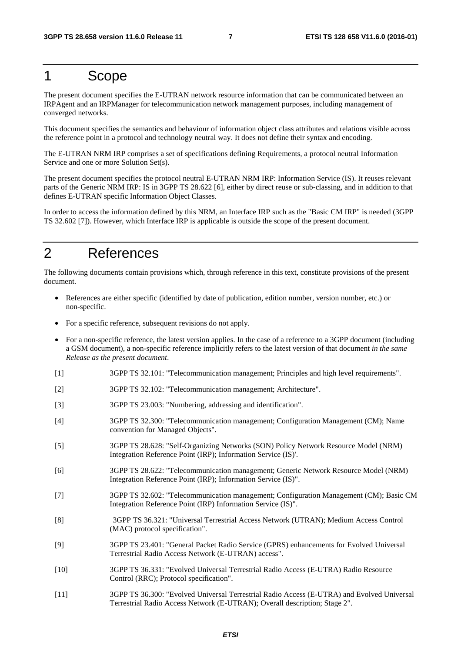### 1 Scope

The present document specifies the E-UTRAN network resource information that can be communicated between an IRPAgent and an IRPManager for telecommunication network management purposes, including management of converged networks.

This document specifies the semantics and behaviour of information object class attributes and relations visible across the reference point in a protocol and technology neutral way. It does not define their syntax and encoding.

The E-UTRAN NRM IRP comprises a set of specifications defining Requirements, a protocol neutral Information Service and one or more Solution Set(s).

The present document specifies the protocol neutral E-UTRAN NRM IRP: Information Service (IS). It reuses relevant parts of the Generic NRM IRP: IS in 3GPP TS 28.622 [6], either by direct reuse or sub-classing, and in addition to that defines E-UTRAN specific Information Object Classes.

In order to access the information defined by this NRM, an Interface IRP such as the "Basic CM IRP" is needed (3GPP TS 32.602 [7]). However, which Interface IRP is applicable is outside the scope of the present document.

### 2 References

The following documents contain provisions which, through reference in this text, constitute provisions of the present document.

- References are either specific (identified by date of publication, edition number, version number, etc.) or non-specific.
- For a specific reference, subsequent revisions do not apply.
- For a non-specific reference, the latest version applies. In the case of a reference to a 3GPP document (including a GSM document), a non-specific reference implicitly refers to the latest version of that document *in the same Release as the present document*.
- [1] 3GPP TS 32.101: "Telecommunication management; Principles and high level requirements".
- [2] 3GPP TS 32.102: "Telecommunication management; Architecture".
- [3] 3GPP TS 23.003: "Numbering, addressing and identification".
- [4] 3GPP TS 32.300: "Telecommunication management; Configuration Management (CM); Name convention for Managed Objects".
- [5] 3GPP TS 28.628: "Self-Organizing Networks (SON) Policy Network Resource Model (NRM) Integration Reference Point (IRP); Information Service (IS)'.
- [6] 3GPP TS 28.622: "Telecommunication management; Generic Network Resource Model (NRM) Integration Reference Point (IRP); Information Service (IS)".
- [7] 3GPP TS 32.602: "Telecommunication management; Configuration Management (CM); Basic CM Integration Reference Point (IRP) Information Service (IS)".
- [8] 3GPP TS 36.321: "Universal Terrestrial Access Network (UTRAN); Medium Access Control (MAC) protocol specification".
- [9] 3GPP TS 23.401: "General Packet Radio Service (GPRS) enhancements for Evolved Universal Terrestrial Radio Access Network (E-UTRAN) access".
- [10] 3GPP TS 36.331: "Evolved Universal Terrestrial Radio Access (E-UTRA) Radio Resource Control (RRC); Protocol specification".
- [11] 3GPP TS 36.300: "Evolved Universal Terrestrial Radio Access (E-UTRA) and Evolved Universal Terrestrial Radio Access Network (E-UTRAN); Overall description; Stage 2".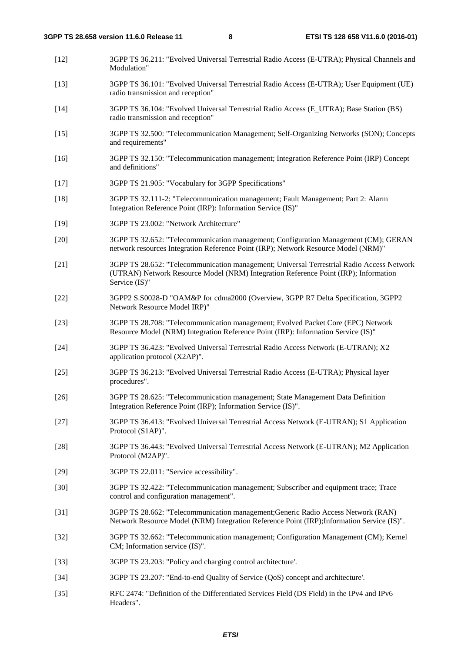- [12] 3GPP TS 36.211: "Evolved Universal Terrestrial Radio Access (E-UTRA); Physical Channels and Modulation"
- [13] 3GPP TS 36.101: "Evolved Universal Terrestrial Radio Access (E-UTRA); User Equipment (UE) radio transmission and reception"
- [14] 3GPP TS 36.104: "Evolved Universal Terrestrial Radio Access (E\_UTRA); Base Station (BS) radio transmission and reception"
- [15] 3GPP TS 32.500: "Telecommunication Management; Self-Organizing Networks (SON); Concepts and requirements"
- [16] 3GPP TS 32.150: "Telecommunication management; Integration Reference Point (IRP) Concept and definitions"
- [17] 3GPP TS 21.905: "Vocabulary for 3GPP Specifications"
- [18] 3GPP TS 32.111-2: "Telecommunication management; Fault Management; Part 2: Alarm Integration Reference Point (IRP): Information Service (IS)"
- [19] 3GPP TS 23.002: "Network Architecture"
- [20] 3GPP TS 32.652: "Telecommunication management; Configuration Management (CM); GERAN network resources Integration Reference Point (IRP); Network Resource Model (NRM)"
- [21] 3GPP TS 28.652: "Telecommunication management; Universal Terrestrial Radio Access Network (UTRAN) Network Resource Model (NRM) Integration Reference Point (IRP); Information Service (IS)"
- [22] 3GPP2 S.S0028-D "OAM&P for cdma2000 (Overview, 3GPP R7 Delta Specification, 3GPP2 Network Resource Model IRP)"
- [23] 3GPP TS 28.708: "Telecommunication management; Evolved Packet Core (EPC) Network Resource Model (NRM) Integration Reference Point (IRP): Information Service (IS)"
- [24] 3GPP TS 36.423: "Evolved Universal Terrestrial Radio Access Network (E-UTRAN); X2 application protocol (X2AP)".
- [25] 3GPP TS 36.213: "Evolved Universal Terrestrial Radio Access (E-UTRA); Physical layer procedures".
- [26] 3GPP TS 28.625: "Telecommunication management; State Management Data Definition Integration Reference Point (IRP); Information Service (IS)".
- [27] 3GPP TS 36.413: "Evolved Universal Terrestrial Access Network (E-UTRAN); S1 Application Protocol (S1AP)".
- [28] 3GPP TS 36.443: "Evolved Universal Terrestrial Access Network (E-UTRAN); M2 Application Protocol (M2AP)".
- [29] 3GPP TS 22.011: "Service accessibility".
- [30] 3GPP TS 32.422: "Telecommunication management; Subscriber and equipment trace; Trace control and configuration management".
- [31] 3GPP TS 28.662: "Telecommunication management;Generic Radio Access Network (RAN) Network Resource Model (NRM) Integration Reference Point (IRP);Information Service (IS)".
- [32] 3GPP TS 32.662: "Telecommunication management; Configuration Management (CM); Kernel CM; Information service (IS)".
- [33] 3GPP TS 23.203: "Policy and charging control architecture'.
- [34] 3GPP TS 23.207: "End-to-end Quality of Service (QoS) concept and architecture'.
- [35] RFC 2474: "Definition of the Differentiated Services Field (DS Field) in the IPv4 and IPv6 Headers".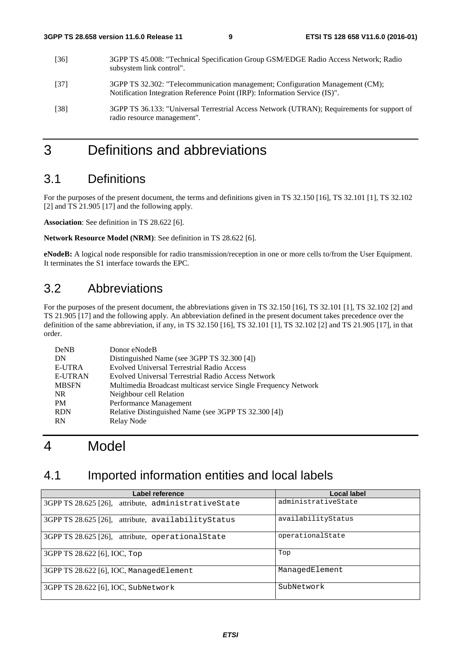- [36] 3GPP TS 45.008: "Technical Specification Group GSM/EDGE Radio Access Network; Radio subsystem link control". [37] 3GPP TS 32.302: "Telecommunication management; Configuration Management (CM);
- Notification Integration Reference Point (IRP): Information Service (IS)".
- [38] 3GPP TS 36.133: "Universal Terrestrial Access Network (UTRAN); Requirements for support of radio resource management".

### 3 Definitions and abbreviations

### 3.1 Definitions

For the purposes of the present document, the terms and definitions given in TS 32.150 [16], TS 32.101 [1], TS 32.102 [2] and TS 21.905 [17] and the following apply.

**Association**: See definition in TS 28.622 [6].

**Network Resource Model (NRM)**: See definition in TS 28.622 [6].

**eNodeB:** A logical node responsible for radio transmission/reception in one or more cells to/from the User Equipment. It terminates the S1 interface towards the EPC.

### 3.2 Abbreviations

For the purposes of the present document, the abbreviations given in TS 32.150 [16], TS 32.101 [1], TS 32.102 [2] and TS 21.905 [17] and the following apply. An abbreviation defined in the present document takes precedence over the definition of the same abbreviation, if any, in TS 32.150 [16], TS 32.101 [1], TS 32.102 [2] and TS 21.905 [17], in that order.

| DeNB           | Donor eNodeB                                                    |
|----------------|-----------------------------------------------------------------|
| DN             | Distinguished Name (see 3GPP TS 32.300 [4])                     |
| E-UTRA         | <b>Evolved Universal Terrestrial Radio Access</b>               |
| <b>E-UTRAN</b> | Evolved Universal Terrestrial Radio Access Network              |
| <b>MBSFN</b>   | Multimedia Broadcast multicast service Single Frequency Network |
| NR.            | Neighbour cell Relation                                         |
| PM             | Performance Management                                          |
| <b>RDN</b>     | Relative Distinguished Name (see 3GPP TS 32.300 [4])            |
| <b>RN</b>      | Relay Node                                                      |

### 4 Model

### 4.1 Imported information entities and local labels

| Label reference                                     | Local label         |
|-----------------------------------------------------|---------------------|
| 3GPP TS 28.625 [26], attribute, administrativeState | administrativeState |
| 3GPP TS 28.625 [26], attribute, availability Status | availabilityStatus  |
| 3GPP TS 28.625 [26], attribute, operational State   | operationalState    |
| 3GPP TS 28.622 [6], IOC, Top                        | Top                 |
| 3GPP TS 28.622 [6], IOC, ManagedElement             | ManagedElement      |
| 3GPP TS 28.622 [6], IOC, SubNetwork                 | SubNetwork          |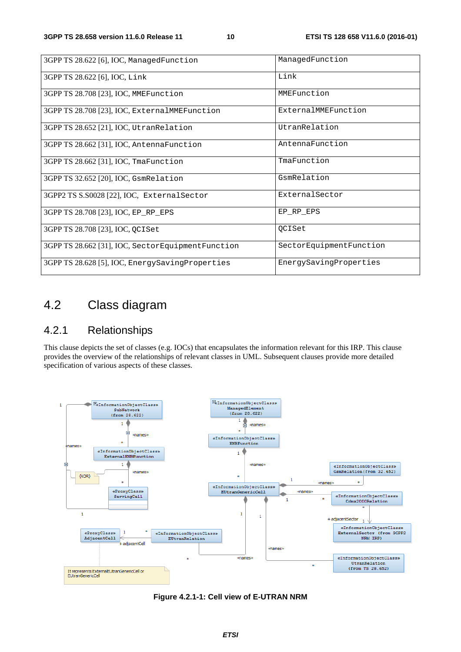| 3GPP TS 28.622 [6], IOC, ManagedFunction          | ManagedFunction         |
|---------------------------------------------------|-------------------------|
| 3GPP TS 28.622 [6], IOC, Link                     | Link                    |
| 3GPP TS 28.708 [23], IOC, MMEFunction             | MMEFunction             |
| 3GPP TS 28.708 [23], IOC, ExternalMMEFunction     | ExternalMMEFunction     |
| 3GPP TS 28.652 [21], IOC, Utran Relation          | UtranRelation           |
| 3GPP TS 28.662 [31], IOC, AntennaFunction         | AntennaFunction         |
| 3GPP TS 28.662 [31], IOC, TmaFunction             | TmaFunction             |
| 3GPP TS 32.652 [20], IOC, GsmRelation             | GsmRelation             |
| 3GPP2 TS S.S0028 [22], IOC, External Sector       | ExternalSector          |
| 3GPP TS 28.708 [23], IOC, EP RP EPS               | EP RP EPS               |
| 3GPP TS 28.708 [23], IOC, QCISet                  | <b>QCISet</b>           |
| 3GPP TS 28.662 [31], IOC, SectorEquipmentFunction | SectorEquipmentFunction |
| 3GPP TS 28.628 [5], IOC, EnergySavingProperties   | EnergySavingProperties  |

### 4.2 Class diagram

### 4.2.1 Relationships

This clause depicts the set of classes (e.g. IOCs) that encapsulates the information relevant for this IRP. This clause provides the overview of the relationships of relevant classes in UML. Subsequent clauses provide more detailed specification of various aspects of these classes.



**Figure 4.2.1-1: Cell view of E-UTRAN NRM**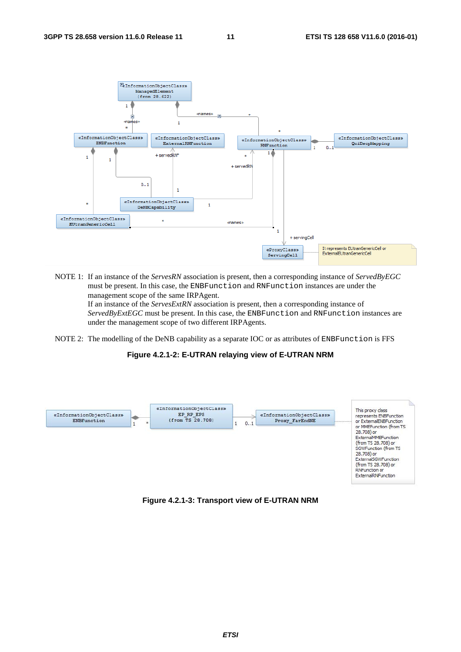

NOTE 1: If an instance of the *ServesRN* association is present, then a corresponding instance of *ServedByEGC* must be present. In this case, the ENBFunction and RNFunction instances are under the management scope of the same IRPAgent. If an instance of the *ServesExtRN* association is present, then a corresponding instance of

*ServedByExtEGC* must be present. In this case, the ENBFunction and RNFunction instances are under the management scope of two different IRPAgents.

NOTE 2: The modelling of the DeNB capability as a separate IOC or as attributes of ENBFunction is FFS

#### **Figure 4.2.1-2: E-UTRAN relaying view of E-UTRAN NRM**



#### **Figure 4.2.1-3: Transport view of E-UTRAN NRM**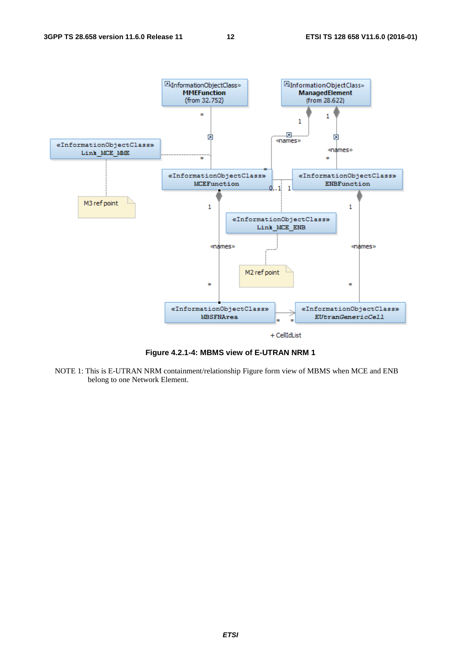

**Figure 4.2.1-4: MBMS view of E-UTRAN NRM 1** 

NOTE 1: This is E-UTRAN NRM containment/relationship Figure form view of MBMS when MCE and ENB belong to one Network Element.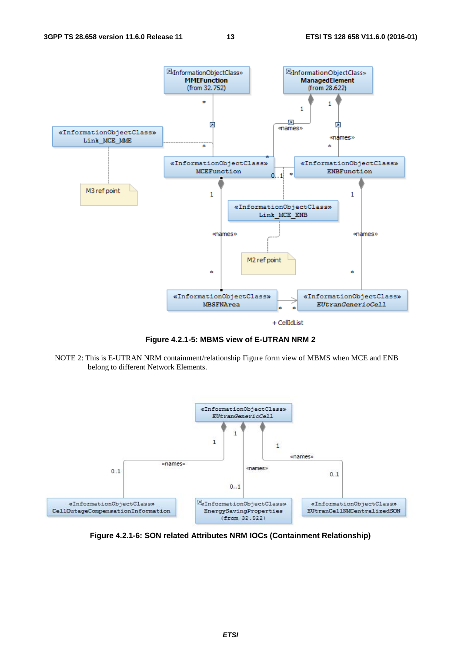

**Figure 4.2.1-5: MBMS view of E-UTRAN NRM 2** 

NOTE 2: This is E-UTRAN NRM containment/relationship Figure form view of MBMS when MCE and ENB belong to different Network Elements.



**Figure 4.2.1-6: SON related Attributes NRM IOCs (Containment Relationship)**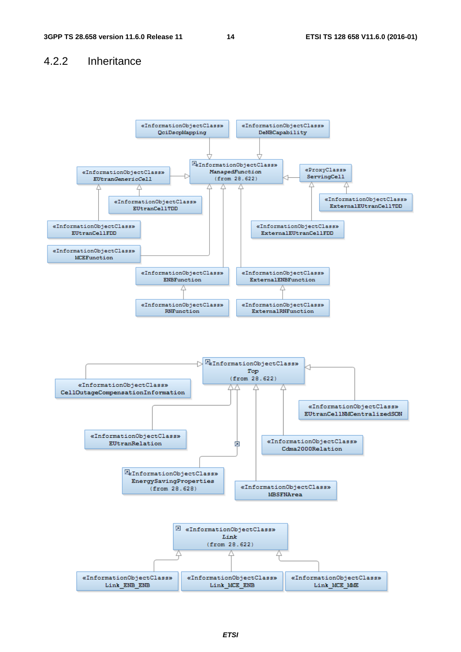#### 4.2.2 Inheritance

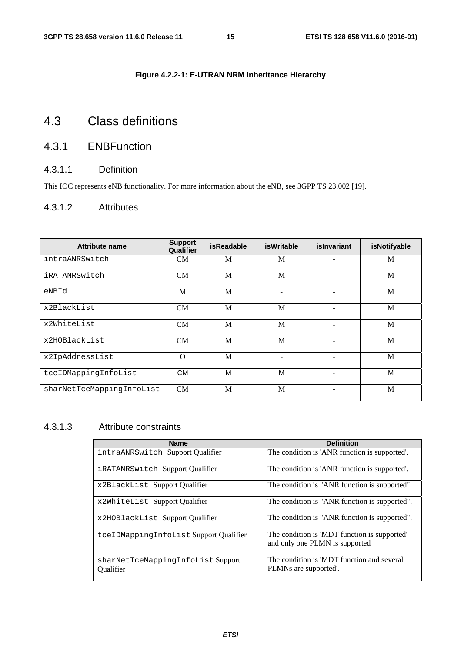#### **Figure 4.2.2-1: E-UTRAN NRM Inheritance Hierarchy**

### 4.3 Class definitions

### 4.3.1 ENBFunction

#### 4.3.1.1 Definition

This IOC represents eNB functionality. For more information about the eNB, see 3GPP TS 23.002 [19].

#### 4.3.1.2 Attributes

| <b>Attribute name</b>     | <b>Support</b><br>Qualifier | <b>isReadable</b> | <b>isWritable</b> | islnvariant | isNotifyable |
|---------------------------|-----------------------------|-------------------|-------------------|-------------|--------------|
| intraANRSwitch            | CM                          | M                 | M                 |             | M            |
| iRATANRSwitch             | CM                          | M                 | M                 |             | M            |
| eNBId                     | M                           | M                 |                   | ۰           | M            |
| x2BlackList               | CM                          | M                 | M                 | ۰           | M            |
| x2WhiteList               | CM                          | M                 | M                 |             | M            |
| x2HOBlackList             | <b>CM</b>                   | M                 | M                 | ۰           | M            |
| x2IpAddressList           | $\Omega$                    | M                 |                   | ۰           | M            |
| tceIDMappingInfoList      | <b>CM</b>                   | М                 | M                 | ٠           | M            |
| sharNetTceMappingInfoList | CM                          | M                 | M                 |             | M            |

#### 4.3.1.3 Attribute constraints

| <b>Name</b>                                           | <b>Definition</b>                                                              |
|-------------------------------------------------------|--------------------------------------------------------------------------------|
| intraANRSwitch Support Oualifier                      | The condition is 'ANR function is supported'.                                  |
| iRATANRSwitch Support Qualifier                       | The condition is 'ANR function is supported'.                                  |
| x2BlackList Support Qualifier                         | The condition is "ANR function is supported".                                  |
| x2WhiteList Support Qualifier                         | The condition is "ANR function is supported".                                  |
| x2HOBlackList Support Qualifier                       | The condition is "ANR function is supported".                                  |
| tceIDMappingInfoList Support Qualifier                | The condition is 'MDT function is supported'<br>and only one PLMN is supported |
| sharNetTceMappingInfoList Support<br><b>Oualifier</b> | The condition is 'MDT function and several<br>PLMNs are supported.             |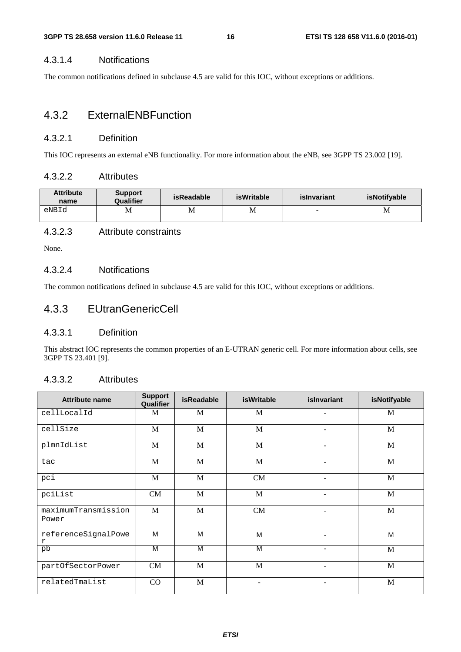#### 4.3.1.4 Notifications

The common notifications defined in subclause 4.5 are valid for this IOC, without exceptions or additions.

#### 4.3.2 ExternalENBFunction

#### 4.3.2.1 Definition

This IOC represents an external eNB functionality. For more information about the eNB, see 3GPP TS 23.002 [19].

#### 4.3.2.2 Attributes

| <b>Attribute</b><br>name | <b>Support</b><br><b>Qualifier</b> | isReadable | <b>isWritable</b> | islnvariant | isNotifyable |
|--------------------------|------------------------------------|------------|-------------------|-------------|--------------|
| eNBId                    | М                                  | M          | М                 | -           | M            |

#### 4.3.2.3 Attribute constraints

None.

#### 4.3.2.4 Notifications

The common notifications defined in subclause 4.5 are valid for this IOC, without exceptions or additions.

#### 4.3.3 EUtranGenericCell

#### 4.3.3.1 Definition

This abstract IOC represents the common properties of an E-UTRAN generic cell. For more information about cells, see 3GPP TS 23.401 [9].

#### 4.3.3.2 Attributes

| <b>Attribute name</b>        | <b>Support</b><br>Qualifier | <b>isReadable</b> | <b>isWritable</b>        | islnvariant              | isNotifyable |
|------------------------------|-----------------------------|-------------------|--------------------------|--------------------------|--------------|
| cellLocalId                  | M                           | M                 | M                        | $\overline{\phantom{a}}$ | M            |
| cellSize                     | M                           | M                 | M                        | $\overline{\phantom{a}}$ | M            |
| plmnIdList                   | M                           | M                 | M                        | $\qquad \qquad -$        | $\mathbf{M}$ |
| tac                          | M                           | $\mathbf M$       | M                        | $\overline{a}$           | M            |
| pci                          | M                           | M                 | <b>CM</b>                | ۰                        | M            |
| pciList                      | CM                          | $\mathbf M$       | M                        | $\overline{\phantom{0}}$ | M            |
| maximumTransmission<br>Power | M                           | M                 | <b>CM</b>                | $\overline{\phantom{a}}$ | M            |
| referenceSignalPowe<br>r     | M                           | M                 | M                        |                          | M            |
| pb                           | M                           | M                 | M                        | ٠                        | M            |
| partOfSectorPower            | <b>CM</b>                   | M                 | M                        | ۰                        | M            |
| relatedTmaList               | CO                          | M                 | $\overline{\phantom{a}}$ | $\overline{\phantom{a}}$ | M            |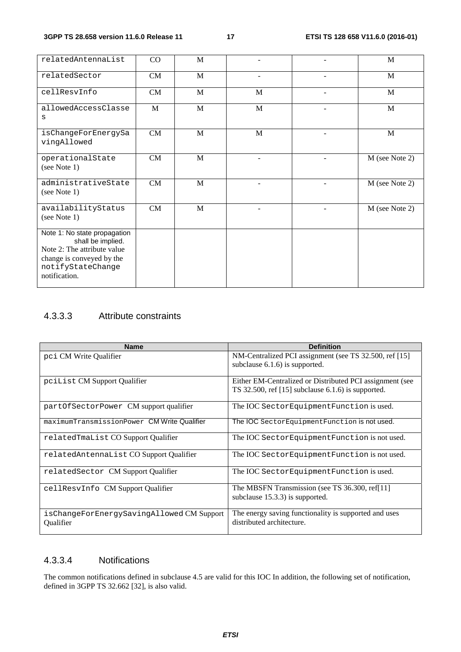| relatedAntennaList                                                                                                                                  | CO | $\mathbf M$  |             | M                |
|-----------------------------------------------------------------------------------------------------------------------------------------------------|----|--------------|-------------|------------------|
| relatedSector                                                                                                                                       | CM | M            | ÷           | M                |
| cellResvInfo                                                                                                                                        | CM | M            | M           | M                |
| allowedAccessClasse<br>S                                                                                                                            | M  | M            | $\mathbf M$ | M                |
| isChangeForEnergySa<br>vingAllowed                                                                                                                  | CM | M            | M           | M                |
| operationalState<br>(see Note 1)                                                                                                                    | CM | $\mathbf{M}$ |             | M (see Note 2)   |
| administrativeState<br>(see Note 1)                                                                                                                 | CM | $\mathbf M$  |             | M (see Note 2)   |
| availabilityStatus<br>(see Note 1)                                                                                                                  | CM | $\mathbf{M}$ |             | $M$ (see Note 2) |
| Note 1: No state propagation<br>shall be implied.<br>Note 2: The attribute value<br>change is conveyed by the<br>notifyStateChange<br>notification. |    |              |             |                  |

#### 4.3.3.3 Attribute constraints

| <b>Name</b>                                            | <b>Definition</b>                                                                                                |
|--------------------------------------------------------|------------------------------------------------------------------------------------------------------------------|
| pci CM Write Qualifier                                 | NM-Centralized PCI assignment (see TS 32.500, ref [15]<br>subclause $6.1.6$ is supported.                        |
|                                                        |                                                                                                                  |
| pciList CM Support Qualifier                           | Either EM-Centralized or Distributed PCI assignment (see<br>TS 32.500, ref $[15]$ subclause 6.1.6) is supported. |
| partOfSectorPower CM support qualifier                 | The IOC Sector Equipment Function is used.                                                                       |
| maximumTransmissionPower CM Write Qualifier            | The IOC Sector Equipment Function is not used.                                                                   |
| relatedTmaList CO Support Qualifier                    | The IOC Sector Equipment Function is not used.                                                                   |
| relatedAntennaList CO Support Qualifier                | The IOC SectorEquipmentFunction is not used.                                                                     |
| relatedSector CM Support Qualifier                     | The IOC Sector Equipment Function is used.                                                                       |
| cellResvInfo CM Support Qualifier                      | The MBSFN Transmission (see TS 36.300, ref[11]<br>subclause 15.3.3) is supported.                                |
| isChangeForEnergySavingAllowed CM Support<br>Qualifier | The energy saving functionality is supported and uses<br>distributed architecture.                               |

#### 4.3.3.4 Notifications

The common notifications defined in subclause 4.5 are valid for this IOC In addition, the following set of notification, defined in 3GPP TS 32.662 [32], is also valid.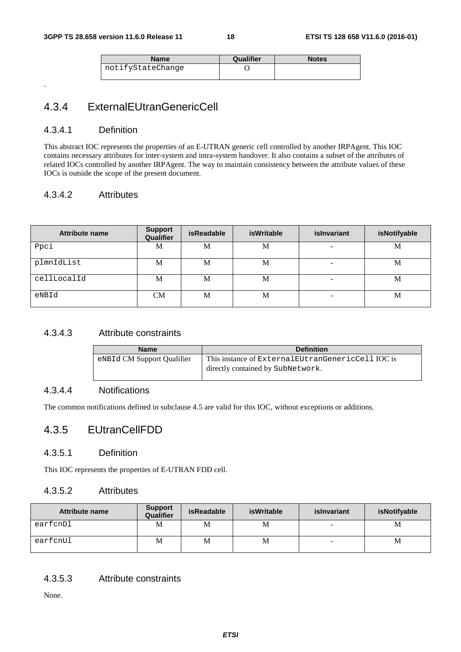| Name              | Qualifier | <b>Notes</b> |
|-------------------|-----------|--------------|
| notifyStateChange |           |              |
|                   |           |              |

#### 4.3.4 ExternalEUtranGenericCell

#### 4.3.4.1 Definition

.

This abstract IOC represents the properties of an E-UTRAN generic cell controlled by another IRPAgent. This IOC contains necessary attributes for inter-system and intra-system handover. It also contains a subset of the attributes of related IOCs controlled by another IRPAgent. The way to maintain consistency between the attribute values of these IOCs is outside the scope of the present document.

#### 4.3.4.2 Attributes

| <b>Attribute name</b> | <b>Support</b><br>Qualifier | <b>isReadable</b> | <b>isWritable</b> | islnvariant              | isNotifyable |
|-----------------------|-----------------------------|-------------------|-------------------|--------------------------|--------------|
| Ppci                  | М                           | M                 | М                 | $\overline{\phantom{a}}$ | M            |
| plmnIdList            | М                           | M                 | М                 | $\overline{\phantom{a}}$ | M            |
| cellLocalId           | М                           | М                 | М                 | $\overline{\phantom{a}}$ | M            |
| eNBId                 | CМ                          | M                 | М                 | $\overline{\phantom{a}}$ | M            |

#### 4.3.4.3 Attribute constraints

| <b>Name</b>                | <b>Definition</b>                                    |
|----------------------------|------------------------------------------------------|
| eNBId CM Support Qualifier | This instance of External EU trangeneric Cell IOC is |
|                            | directly contained by SubNetwork.                    |
|                            |                                                      |

#### 4.3.4.4 Notifications

The common notifications defined in subclause 4.5 are valid for this IOC, without exceptions or additions.

#### 4.3.5 EUtranCellFDD

#### 4.3.5.1 Definition

This IOC represents the properties of E-UTRAN FDD cell.

#### 4.3.5.2 Attributes

| Attribute name | <b>Support</b><br>Qualifier | isReadable | isWritable | islnvariant | isNotifyable |
|----------------|-----------------------------|------------|------------|-------------|--------------|
| earfcnDl       | Μ                           | M          | M          | -           | M            |
| earfcnUl       | М                           | M          | М          | -           | M            |

4.3.5.3 Attribute constraints

None.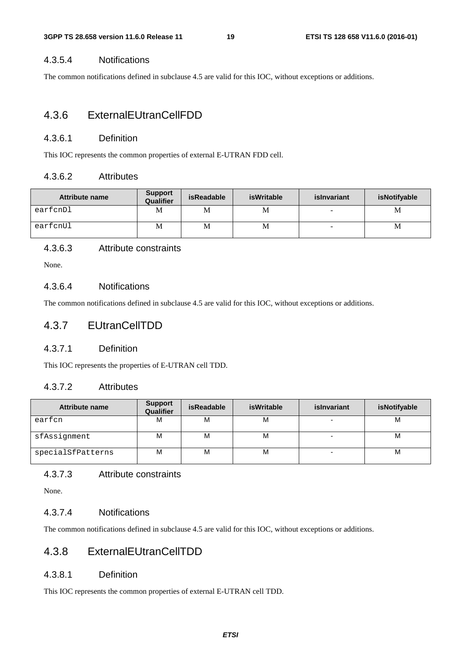#### 4.3.5.4 Notifications

The common notifications defined in subclause 4.5 are valid for this IOC, without exceptions or additions.

#### 4.3.6 ExternalEUtranCellFDD

#### 4.3.6.1 Definition

This IOC represents the common properties of external E-UTRAN FDD cell.

#### 4.3.6.2 Attributes

| Attribute name | <b>Support</b><br><b>Qualifier</b> | isReadable | isWritable | islnvariant | isNotifyable |
|----------------|------------------------------------|------------|------------|-------------|--------------|
| earfcnDl       | М                                  | M          | М          | -           | M            |
| earfcnUl       | М                                  | M          | М          | -           | M            |

#### 4.3.6.3 Attribute constraints

None.

#### 4.3.6.4 Notifications

The common notifications defined in subclause 4.5 are valid for this IOC, without exceptions or additions.

#### 4.3.7 EUtranCellTDD

#### 4.3.7.1 Definition

This IOC represents the properties of E-UTRAN cell TDD.

#### 4.3.7.2 Attributes

| <b>Attribute name</b> | <b>Support</b><br>Qualifier | <b>isWritable</b><br><b>isReadable</b> |   | islnvariant              | isNotifyable |
|-----------------------|-----------------------------|----------------------------------------|---|--------------------------|--------------|
| earfcn                | М                           | м                                      | М | $\overline{\phantom{0}}$ | M            |
| sfAssignment          | М                           | м                                      | М | $\overline{\phantom{0}}$ | M            |
| specialSfPatterns     | М                           | М                                      | М |                          | M            |

#### 4.3.7.3 Attribute constraints

None.

#### 4.3.7.4 Notifications

The common notifications defined in subclause 4.5 are valid for this IOC, without exceptions or additions.

#### 4.3.8 ExternalEUtranCellTDD

#### 4.3.8.1 Definition

This IOC represents the common properties of external E-UTRAN cell TDD.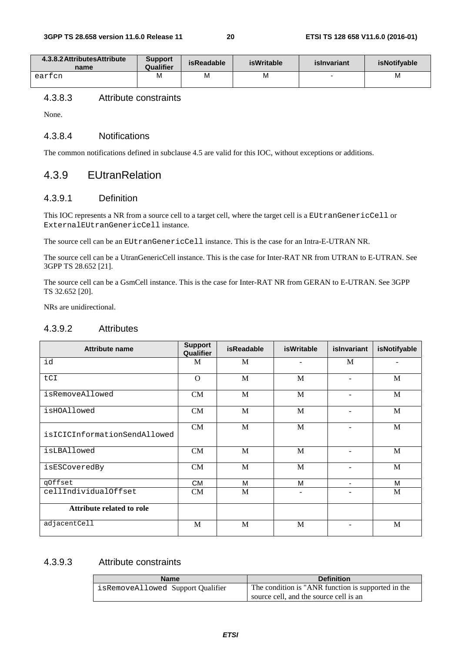| 4.3.8.2 Attributes Attribute<br>name | <b>Support</b><br>Qualifier | isReadable | isWritable | islnvariant | <b>isNotifvable</b> |
|--------------------------------------|-----------------------------|------------|------------|-------------|---------------------|
| earfcn                               | M                           | M          | M          | -           | M                   |

#### 4.3.8.3 Attribute constraints

None.

#### 4.3.8.4 Notifications

The common notifications defined in subclause 4.5 are valid for this IOC, without exceptions or additions.

#### 4.3.9 EUtranRelation

#### 4.3.9.1 Definition

This IOC represents a NR from a source cell to a target cell, where the target cell is a EUtranGenericCell or ExternalEUtranGenericCell instance.

The source cell can be an EUtranGenericCell instance. This is the case for an Intra-E-UTRAN NR.

The source cell can be a UtranGenericCell instance. This is the case for Inter-RAT NR from UTRAN to E-UTRAN. See 3GPP TS 28.652 [21].

The source cell can be a GsmCell instance. This is the case for Inter-RAT NR from GERAN to E-UTRAN. See 3GPP TS 32.652 [20].

NRs are unidirectional.

#### 4.3.9.2 Attributes

| <b>Attribute name</b>            | <b>Support</b><br>Qualifier | <b>isReadable</b> | <b>isWritable</b>        | islnvariant              | isNotifyable |
|----------------------------------|-----------------------------|-------------------|--------------------------|--------------------------|--------------|
| id                               | M                           | M                 | $\blacksquare$           | M                        |              |
| tCI                              | $\Omega$                    | M                 | M                        |                          | M            |
| isRemoveAllowed                  | CM                          | M                 | M                        |                          | M            |
| isHOAllowed                      | CM                          | M                 | M                        |                          | M            |
| isICICInformationSendAllowed     | CM                          | M                 | M                        |                          | M            |
| isLBAllowed                      | CM                          | M                 | M                        |                          | M            |
| isESCoveredBy                    | <b>CM</b>                   | M                 | M                        |                          | M            |
| qOffset                          | <b>CM</b>                   | M                 | M                        | $\overline{\phantom{0}}$ | M            |
| cellIndividualOffset             | CM                          | M                 | $\overline{\phantom{a}}$ |                          | M            |
| <b>Attribute related to role</b> |                             |                   |                          |                          |              |
| adjacentCell                     | M                           | M                 | M                        |                          | M            |

#### 4.3.9.3 Attribute constraints

| <b>Name</b>                       | <b>Definition</b>                                  |
|-----------------------------------|----------------------------------------------------|
| isRemoveAllowed Support Qualifier | The condition is "ANR function is supported in the |
|                                   | source cell, and the source cell is an             |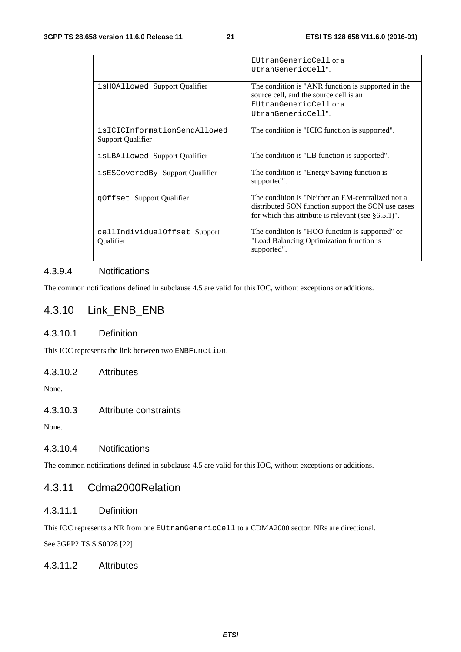|                                                          | EUtranGenericCell or a                                                                                                                                            |
|----------------------------------------------------------|-------------------------------------------------------------------------------------------------------------------------------------------------------------------|
|                                                          | UtranGenericCell".                                                                                                                                                |
| isHOAllowed Support Qualifier                            | The condition is "ANR function is supported in the<br>source cell, and the source cell is an                                                                      |
|                                                          | EUtranGenericCell or a<br>UtranGenericCell".                                                                                                                      |
| isICICInformationSendAllowed<br><b>Support Qualifier</b> | The condition is "ICIC function is supported".                                                                                                                    |
| isLBAllowed Support Qualifier                            | The condition is "LB function is supported".                                                                                                                      |
| isESCoveredBy Support Qualifier                          | The condition is "Energy Saving function is<br>supported".                                                                                                        |
| qOffset Support Qualifier                                | The condition is "Neither an EM-centralized nor a<br>distributed SON function support the SON use cases<br>for which this attribute is relevant (see $§6.5.1$ )". |
| cellIndividualOffset Support<br><b>Qualifier</b>         | The condition is "HOO function is supported" or<br>"Load Balancing Optimization function is<br>supported".                                                        |

#### 4.3.9.4 Notifications

The common notifications defined in subclause 4.5 are valid for this IOC, without exceptions or additions.

### 4.3.10 Link\_ENB\_ENB

#### 4.3.10.1 Definition

This IOC represents the link between two ENBFunction.

#### 4.3.10.2 Attributes

None.

#### 4.3.10.3 Attribute constraints

None.

#### 4.3.10.4 Notifications

The common notifications defined in subclause 4.5 are valid for this IOC, without exceptions or additions.

#### 4.3.11 Cdma2000Relation

#### 4.3.11.1 Definition

This IOC represents a NR from one EUtranGenericCell to a CDMA2000 sector. NRs are directional.

See 3GPP2 TS S.S0028 [22]

#### 4.3.11.2 Attributes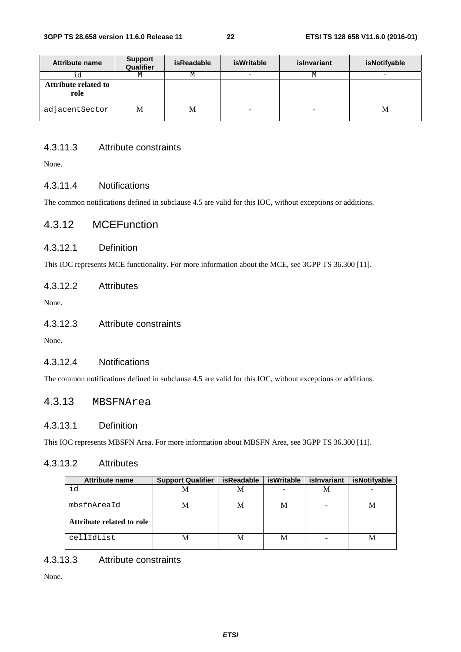| <b>Attribute name</b>        | <b>Support</b><br>Qualifier | <b>isReadable</b> | isWritable | islnvariant | isNotifyable |
|------------------------------|-----------------------------|-------------------|------------|-------------|--------------|
| id                           | М                           | М                 |            | М           |              |
| Attribute related to<br>role |                             |                   |            |             |              |
| adjacentSector               | M                           | M                 |            |             | M            |

#### 4.3.11.3 Attribute constraints

None.

#### 4.3.11.4 Notifications

The common notifications defined in subclause 4.5 are valid for this IOC, without exceptions or additions.

#### 4.3.12 MCEFunction

#### 4.3.12.1 Definition

This IOC represents MCE functionality. For more information about the MCE, see 3GPP TS 36.300 [11].

#### 4.3.12.2 Attributes

None.

#### 4.3.12.3 Attribute constraints

None.

#### 4.3.12.4 Notifications

The common notifications defined in subclause 4.5 are valid for this IOC, without exceptions or additions.

#### 4.3.13 MBSFNArea

#### 4.3.13.1 Definition

This IOC represents MBSFN Area. For more information about MBSFN Area, see 3GPP TS 36.300 [11].

#### 4.3.13.2 Attributes

| <b>Attribute name</b>     | <b>Support Qualifier</b> | <b>isReadable</b> | isWritable | islnvariant | isNotifyable |
|---------------------------|--------------------------|-------------------|------------|-------------|--------------|
| id                        | M                        | М                 |            | М           |              |
| mbsfnAreaId               | M                        | M                 | M          |             | М            |
| Attribute related to role |                          |                   |            |             |              |
| cellIdList                | M                        | M                 | M          |             | M            |

#### 4.3.13.3 Attribute constraints

None.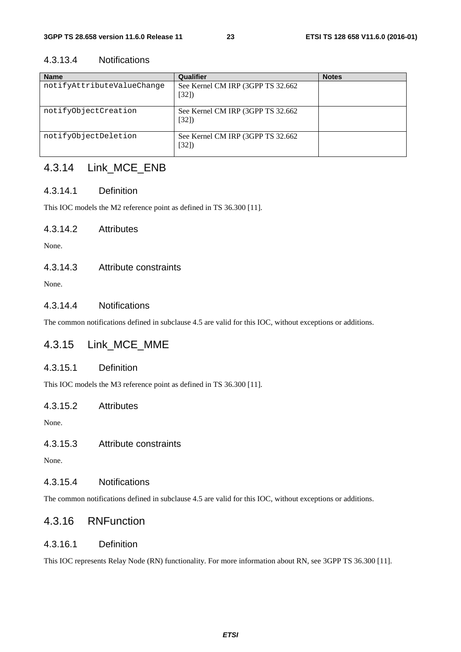#### 4.3.13.4 Notifications

| <b>Name</b>                | Qualifier                                   | <b>Notes</b> |
|----------------------------|---------------------------------------------|--------------|
| notifyAttributeValueChange | See Kernel CM IRP (3GPP TS 32.662)<br>[32]  |              |
| notifyObjectCreation       | See Kernel CM IRP (3GPP TS 32.662)<br>[32]  |              |
| notifyObjectDeletion       | See Kernel CM IRP (3GPP TS 32.662)<br>[32]) |              |

#### 4.3.14 Link\_MCE\_ENB

#### 4.3.14.1 Definition

This IOC models the M2 reference point as defined in TS 36.300 [11].

#### 4.3.14.2 Attributes

None.

#### 4.3.14.3 Attribute constraints

None.

#### 4.3.14.4 Notifications

The common notifications defined in subclause 4.5 are valid for this IOC, without exceptions or additions.

#### 4.3.15 Link\_MCE\_MME

#### 4.3.15.1 Definition

This IOC models the M3 reference point as defined in TS 36.300 [11].

#### 4.3.15.2 Attributes

None.

#### 4.3.15.3 Attribute constraints

None.

#### 4.3.15.4 Notifications

The common notifications defined in subclause 4.5 are valid for this IOC, without exceptions or additions.

#### 4.3.16 RNFunction

#### 4.3.16.1 Definition

This IOC represents Relay Node (RN) functionality. For more information about RN, see 3GPP TS 36.300 [11].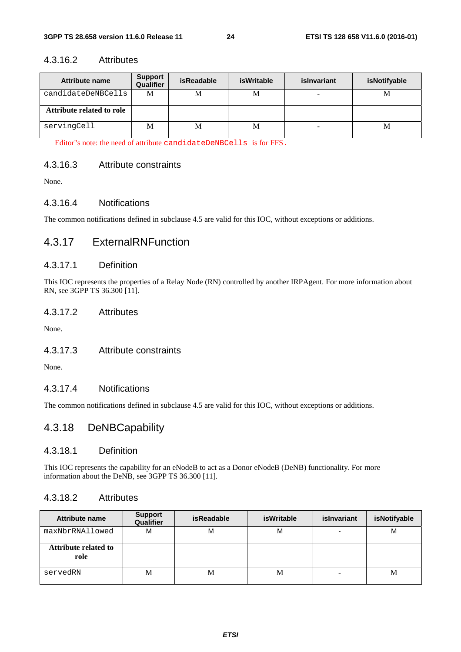#### 4.3.16.2 Attributes

| Attribute name            | <b>Support</b><br>Qualifier | <b>isReadable</b> | isWritable | islnvariant | isNotifyable |
|---------------------------|-----------------------------|-------------------|------------|-------------|--------------|
| candidateDeNBCells        | M                           | M                 | М          |             | М            |
| Attribute related to role |                             |                   |            |             |              |
| servingCell               | M                           | M                 | M          |             | М            |

Editor"s note: the need of attribute candidateDeNBCells is for FFS.

#### 4.3.16.3 Attribute constraints

None.

#### 4.3.16.4 Notifications

The common notifications defined in subclause 4.5 are valid for this IOC, without exceptions or additions.

#### 4.3.17 ExternalRNFunction

#### 4.3.17.1 Definition

This IOC represents the properties of a Relay Node (RN) controlled by another IRPAgent. For more information about RN, see 3GPP TS 36.300 [11].

#### 4.3.17.2 Attributes

None.

#### 4.3.17.3 Attribute constraints

None.

#### 4.3.17.4 Notifications

The common notifications defined in subclause 4.5 are valid for this IOC, without exceptions or additions.

#### 4.3.18 DeNBCapability

#### 4.3.18.1 Definition

This IOC represents the capability for an eNodeB to act as a Donor eNodeB (DeNB) functionality. For more information about the DeNB, see 3GPP TS 36.300 [11].

#### 4.3.18.2 Attributes

| <b>Attribute name</b>               | <b>Support</b><br>Qualifier | isReadable | <b>isWritable</b> | islnvariant | isNotifyable |
|-------------------------------------|-----------------------------|------------|-------------------|-------------|--------------|
| maxNbrRNAllowed                     | M                           | М          | M                 |             | M            |
| <b>Attribute related to</b><br>role |                             |            |                   |             |              |
| servedRN                            | М                           | М          | M                 |             | М            |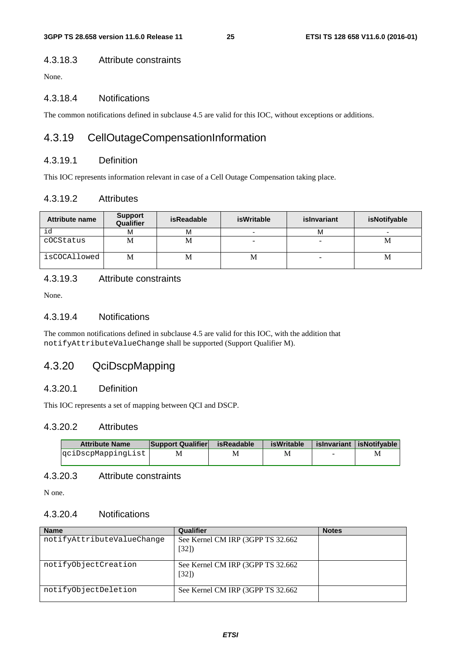#### 4.3.18.3 Attribute constraints

None.

#### 4.3.18.4 Notifications

The common notifications defined in subclause 4.5 are valid for this IOC, without exceptions or additions.

#### 4.3.19 CellOutageCompensationInformation

#### 4.3.19.1 Definition

This IOC represents information relevant in case of a Cell Outage Compensation taking place.

#### 4.3.19.2 Attributes

| <b>Attribute name</b> | <b>Support</b><br>Qualifier | <b>isReadable</b> | isWritable | islnvariant | isNotifyable |
|-----------------------|-----------------------------|-------------------|------------|-------------|--------------|
| id                    | М                           | м                 |            | м           |              |
| cOCStatus             | M                           | М                 |            |             | М            |
| isCOCAllowed          | M                           | М                 | М          |             | М            |

#### 4.3.19.3 Attribute constraints

None.

#### 4.3.19.4 Notifications

The common notifications defined in subclause 4.5 are valid for this IOC, with the addition that notifyAttributeValueChange shall be supported (Support Qualifier M).

#### 4.3.20 QciDscpMapping

#### 4.3.20.1 Definition

This IOC represents a set of mapping between QCI and DSCP.

#### 4.3.20.2 Attributes

| <b>Attribute Name</b> | <b>Support Qualifier</b> | isReadable | isWritable |                          | islnvariant lisNotifvable |
|-----------------------|--------------------------|------------|------------|--------------------------|---------------------------|
| qciDscpMappingList    |                          |            |            | $\overline{\phantom{a}}$ |                           |

#### 4.3.20.3 Attribute constraints

N one.

#### 4.3.20.4 Notifications

| <b>Name</b>                | Qualifier                                  | <b>Notes</b> |
|----------------------------|--------------------------------------------|--------------|
| notifyAttributeValueChange | See Kernel CM IRP (3GPP TS 32.662)<br>[32] |              |
| notifyObjectCreation       | See Kernel CM IRP (3GPP TS 32.662)<br>[32] |              |
| notifyObjectDeletion       | See Kernel CM IRP (3GPP TS 32.662)         |              |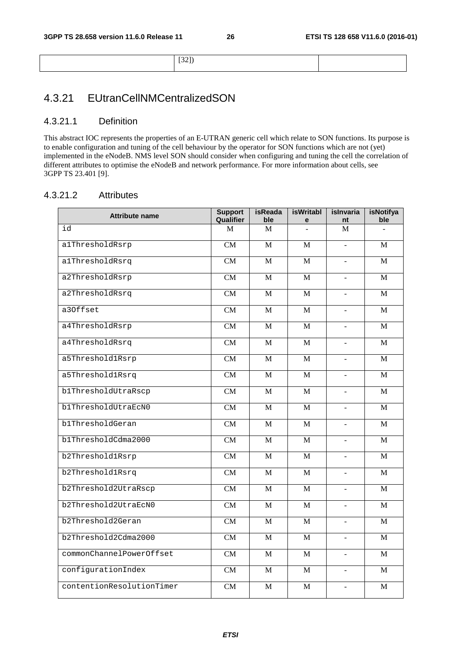[32])

### 4.3.21 EUtranCellNMCentralizedSON

#### 4.3.21.1 Definition

This abstract IOC represents the properties of an E-UTRAN generic cell which relate to SON functions. Its purpose is to enable configuration and tuning of the cell behaviour by the operator for SON functions which are not (yet) implemented in the eNodeB. NMS level SON should consider when configuring and tuning the cell the correlation of different attributes to optimise the eNodeB and network performance. For more information about cells, see 3GPP TS 23.401 [9].

#### 4.3.21.2 Attributes

| <b>Attribute name</b>     | <b>Support</b>         | <b>isReada</b> | <b>isWritabl</b> | islnvaria                | <b>isNotifya</b> |
|---------------------------|------------------------|----------------|------------------|--------------------------|------------------|
|                           | Qualifier              | ble            | е                | nt                       | ble              |
| id                        | M                      | M              |                  | M                        | $\equiv$         |
| alThresholdRsrp           | CM                     | $\mathbf{M}$   | M                | $\overline{\phantom{a}}$ | M                |
| alThresholdRsrq           | CM                     | M              | M                | $\blacksquare$           | M                |
| a2ThresholdRsrp           | CM                     | $\mathbf{M}$   | $\mathbf{M}$     | $\blacksquare$           | M                |
| a2ThresholdRsrq           | CM                     | M              | M                | $\mathbf{r}$             | M                |
| a30ffset                  | CM                     | $\mathbf{M}$   | $\mathbf{M}$     | $\Box$                   | $\mathbf{M}$     |
| a4ThresholdRsrp           | CM                     | M              | M                |                          | $\mathbf{M}$     |
| a4ThresholdRsrq           | CM                     | $\mathbf{M}$   | $\mathbf{M}$     | $\equiv$                 | $\mathbf{M}$     |
| a5Threshold1Rsrp          | CM                     | $\mathbf{M}$   | $\mathbf{M}$     | $\equiv$                 | $\mathbf{M}$     |
| a5Threshold1Rsrq          | $\overline{\text{CM}}$ | M              | M                | $\overline{\phantom{a}}$ | $\mathbf{M}$     |
| b1ThresholdUtraRscp       | CM                     | M              | M                | $\overline{\phantom{a}}$ | M                |
| blThresholdUtraEcN0       | CM                     | M              | M                | $\blacksquare$           | M                |
| b1ThresholdGeran          | CM                     | M              | M                | $\blacksquare$           | $\mathbf{M}$     |
| b1ThresholdCdma2000       | CM                     | M              | M                |                          | M                |
| b2Threshold1Rsrp          | CM                     | M              | $\mathbf{M}$     | $\overline{a}$           | $\mathbf{M}$     |
| b2Threshold1Rsrq          | CM                     | M              | M                | $\overline{\phantom{a}}$ | M                |
| b2Threshold2UtraRscp      | CM                     | $\mathbf{M}$   | $\mathbf{M}$     | $\equiv$                 | M                |
| b2Threshold2UtraEcN0      | CM                     | M              | M                | $\overline{\phantom{a}}$ | M                |
| b2Threshold2Geran         | CM                     | M              | M                | $\bar{\phantom{a}}$      | M                |
| b2Threshold2Cdma2000      | CM                     | M              | $\mathbf{M}$     | $\blacksquare$           | M                |
| commonChannelPowerOffset  | $\overline{\text{CM}}$ | M              | M                | $\overline{a}$           | M                |
| configurationIndex        | CM                     | M              | $\mathbf{M}$     | $\blacksquare$           | M                |
| contentionResolutionTimer | CM                     | M              | M                | L,                       | M                |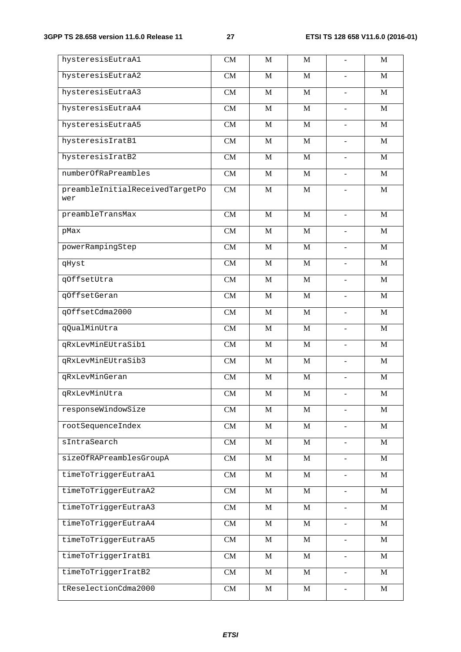| hysteresisEutraA1                      | <b>CM</b> | M            | M            | $\frac{1}{2}$                | M            |
|----------------------------------------|-----------|--------------|--------------|------------------------------|--------------|
| hysteresisEutraA2                      | CM        | M            | M            |                              | M            |
| hysteresisEutraA3                      | CM        | M            | $\mathbf{M}$ | $\qquad \qquad \blacksquare$ | M            |
| hysteresisEutraA4                      | CM        | M            | M            |                              | M            |
| hysteresisEutraA5                      | <b>CM</b> | M            | M            | $\frac{1}{2}$                | M            |
| hysteresisIratB1                       | <b>CM</b> | M            | M            |                              | M            |
| hysteresisIratB2                       | CM        | M            | M            | $\qquad \qquad \blacksquare$ | M            |
| numberOfRaPreambles                    | CM        | M            | M            |                              | M            |
| preambleInitialReceivedTargetPo<br>wer | CM        | M            | M            |                              | M            |
| preambleTransMax                       | CM        | M            | $\mathbf M$  | $\blacksquare$               | $\mathbf M$  |
| pMax                                   | CM        | $\mathbf M$  | $\mathbf M$  | $\blacksquare$               | $\mathbf M$  |
| powerRampingStep                       | CM        | $\mathbf M$  | $\mathbf M$  | $\blacksquare$               | $\mathbf M$  |
| qHyst                                  | CM        | $\mathbf M$  | M            | $\overline{\phantom{a}}$     | M            |
| qOffsetUtra                            | CM        | $\mathbf M$  | M            | $\blacksquare$               | $\mathbf M$  |
| qOffsetGeran                           | CM        | $\mathbf M$  | $\mathbf M$  | $\overline{\phantom{a}}$     | $\mathbf M$  |
| qOffsetCdma2000                        | CM        | $\mathbf M$  | $\mathbf M$  | $\blacksquare$               | $\mathbf M$  |
| qQualMinUtra                           | CM        | $\mathbf M$  | M            | $\overline{\phantom{a}}$     | M            |
| qRxLevMinEUtraSib1                     | CM        | $\mathbf M$  | M            | $\blacksquare$               | $\mathbf M$  |
| qRxLevMinEUtraSib3                     | CM        | M            | $\mathbf M$  | $\overline{\phantom{a}}$     | $\mathbf M$  |
| qRxLevMinGeran                         | CM        | $\mathbf M$  | $\mathbf M$  | $\blacksquare$               | $\mathbf M$  |
| qRxLevMinUtra                          | CM        | $\mathbf M$  | $\mathbf M$  | $\overline{\phantom{a}}$     | $\mathbf M$  |
| responseWindowSize                     | CM        | M            | M            | $\blacksquare$               | M            |
| rootSequenceIndex                      | CM        | $\mathbf M$  | $\mathbf M$  | $\blacksquare$               | M            |
| sIntraSearch                           | CM        | $\mathbf M$  | $\mathbf M$  | $\blacksquare$               | $\mathbf M$  |
| sizeOfRAPreamblesGroupA                | CM        | $\mathbf M$  | $\mathbf M$  | $\overline{\phantom{a}}$     | M            |
| timeToTriggerEutraA1                   | CM        | $\mathbf M$  | $\mathbf M$  | $\blacksquare$               | $\mathbf{M}$ |
| timeToTriggerEutraA2                   | CM        | M            | M            | $\overline{\phantom{a}}$     | M            |
| timeToTriggerEutraA3                   | CM        | $\mathbf M$  | $\mathbf M$  | $\blacksquare$               | M            |
| timeToTriggerEutraA4                   | CM        | $\mathbf{M}$ | $\mathbf M$  | $\overline{\phantom{a}}$     | M            |
| timeToTriggerEutraA5                   | CM        | $\mathbf M$  | $\mathbf M$  | $\equiv$                     | $\mathbf M$  |
| timeToTriggerIratB1                    | CM        | M            | $\mathbf{M}$ | $\overline{\phantom{a}}$     | M            |
| timeToTriggerIratB2                    | CM        | M            | $\mathbf{M}$ | $\blacksquare$               | M            |
| tReselectionCdma2000                   | CM        | M            | $\mathbf M$  | $\overline{\phantom{a}}$     | M            |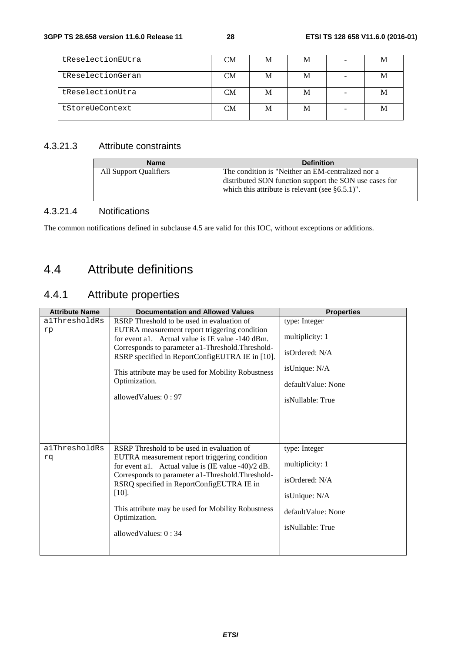| tReselectionEUtra | CМ | M | M |
|-------------------|----|---|---|
| tReselectionGeran | CМ | М |   |
| tReselectionUtra  | CМ | М |   |
| tStoreUeContext   | CМ | М |   |

#### 4.3.21.3 Attribute constraints

| <b>Name</b>            | <b>Definition</b>                                                                                                                                                 |
|------------------------|-------------------------------------------------------------------------------------------------------------------------------------------------------------------|
| All Support Qualifiers | The condition is "Neither an EM-centralized nor a<br>distributed SON function support the SON use cases for<br>which this attribute is relevant (see $§6.5.1$ )". |

#### 4.3.21.4 Notifications

The common notifications defined in subclause 4.5 are valid for this IOC, without exceptions or additions.

### 4.4 Attribute definitions

### 4.4.1 Attribute properties

| <b>Attribute Name</b> | <b>Documentation and Allowed Values</b>                                                                                                                                                                                                                                                                                                                          | <b>Properties</b>                                                                                              |
|-----------------------|------------------------------------------------------------------------------------------------------------------------------------------------------------------------------------------------------------------------------------------------------------------------------------------------------------------------------------------------------------------|----------------------------------------------------------------------------------------------------------------|
| a1ThresholdRs         | RSRP Threshold to be used in evaluation of                                                                                                                                                                                                                                                                                                                       | type: Integer                                                                                                  |
| rp                    | EUTRA measurement report triggering condition<br>for event a1. Actual value is IE value -140 dBm.<br>Corresponds to parameter a1-Threshold. Threshold-<br>RSRP specified in ReportConfigEUTRA IE in [10].<br>This attribute may be used for Mobility Robustness<br>Optimization.<br>allowed Values: $0:97$                                                       | multiplicity: 1<br>isOrdered: N/A<br>isUnique: N/A<br>default Value: None<br>isNullable: True                  |
| alThresholdRs<br>rq   | RSRP Threshold to be used in evaluation of<br>EUTRA measurement report triggering condition<br>for event a1. Actual value is $(IE value -40)/2 dB$ .<br>Corresponds to parameter a1-Threshold. Threshold-<br>RSRQ specified in ReportConfigEUTRA IE in<br>$[10]$ .<br>This attribute may be used for Mobility Robustness<br>Optimization.<br>allowedValues: 0:34 | type: Integer<br>multiplicity: 1<br>isOrdered: N/A<br>isUnique: N/A<br>default Value: None<br>isNullable: True |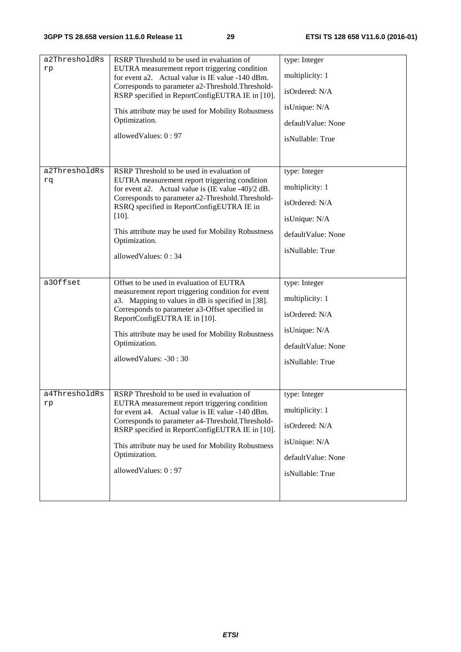| a2ThresholdRs<br>rp | RSRP Threshold to be used in evaluation of<br>EUTRA measurement report triggering condition<br>for event a2. Actual value is IE value -140 dBm.<br>Corresponds to parameter a2-Threshold. Threshold-<br>RSRP specified in ReportConfigEUTRA IE in [10].<br>This attribute may be used for Mobility Robustness<br>Optimization.<br>allowedValues: 0:97               | type: Integer<br>multiplicity: 1<br>isOrdered: N/A<br>isUnique: N/A<br>defaultValue: None<br>isNullable: True |
|---------------------|---------------------------------------------------------------------------------------------------------------------------------------------------------------------------------------------------------------------------------------------------------------------------------------------------------------------------------------------------------------------|---------------------------------------------------------------------------------------------------------------|
| a2ThresholdRs<br>rq | RSRP Threshold to be used in evaluation of<br>EUTRA measurement report triggering condition<br>for event a2. Actual value is $(IE value -40)/2 dB$ .<br>Corresponds to parameter a2-Threshold. Threshold-<br>RSRQ specified in ReportConfigEUTRA IE in<br>$[10]$ .<br>This attribute may be used for Mobility Robustness<br>Optimization.<br>allowed Values: $0:34$ | type: Integer<br>multiplicity: 1<br>isOrdered: N/A<br>isUnique: N/A<br>defaultValue: None<br>isNullable: True |
| a30ffset            | Offset to be used in evaluation of EUTRA<br>measurement report triggering condition for event<br>a3. Mapping to values in dB is specified in [38].<br>Corresponds to parameter a3-Offset specified in<br>ReportConfigEUTRA IE in [10].<br>This attribute may be used for Mobility Robustness<br>Optimization.<br>allowedValues: -30:30                              | type: Integer<br>multiplicity: 1<br>isOrdered: N/A<br>isUnique: N/A<br>defaultValue: None<br>isNullable: True |
| a4ThresholdRs<br>rp | RSRP Threshold to be used in evaluation of<br>EUTRA measurement report triggering condition<br>for event a4. Actual value is IE value -140 dBm.<br>Corresponds to parameter a4-Threshold. Threshold-<br>RSRP specified in ReportConfigEUTRA IE in [10].<br>This attribute may be used for Mobility Robustness<br>Optimization.<br>allowedValues: 0:97               | type: Integer<br>multiplicity: 1<br>isOrdered: N/A<br>isUnique: N/A<br>defaultValue: None<br>isNullable: True |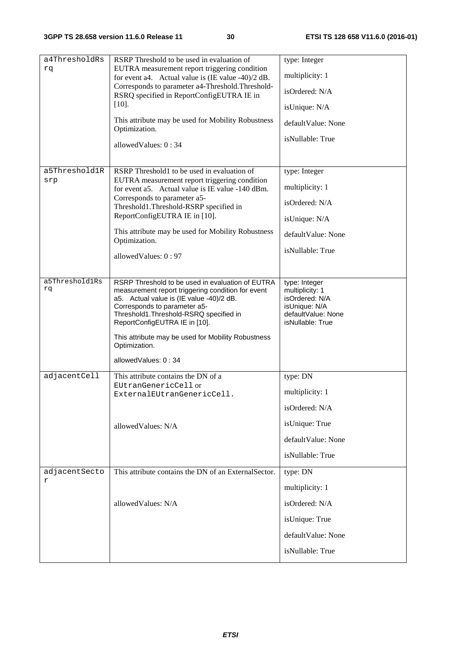| a4ThresholdRs  | RSRP Threshold to be used in evaluation of                                                        | type: Integer                       |
|----------------|---------------------------------------------------------------------------------------------------|-------------------------------------|
| rq             | EUTRA measurement report triggering condition                                                     |                                     |
|                | for event a4. Actual value is $(IE value -40)/2 dB$ .                                             | multiplicity: 1                     |
|                | Corresponds to parameter a4-Threshold. Threshold-<br>RSRQ specified in ReportConfigEUTRA IE in    | isOrdered: N/A                      |
|                | $[10]$ .                                                                                          | isUnique: N/A                       |
|                | This attribute may be used for Mobility Robustness<br>Optimization.                               | defaultValue: None                  |
|                |                                                                                                   | isNullable: True                    |
|                | allowed Values: $0:34$                                                                            |                                     |
| a5Threshold1R  | RSRP Threshold1 to be used in evaluation of                                                       | type: Integer                       |
| srp            | EUTRA measurement report triggering condition<br>for event a5. Actual value is IE value -140 dBm. | multiplicity: 1                     |
|                | Corresponds to parameter a5-<br>Threshold1.Threshold-RSRP specified in                            | isOrdered: N/A                      |
|                | ReportConfigEUTRA IE in [10].                                                                     | isUnique: N/A                       |
|                | This attribute may be used for Mobility Robustness<br>Optimization.                               | defaultValue: None                  |
|                | allowedValues: 0:97                                                                               | isNullable: True                    |
|                |                                                                                                   |                                     |
| a5Threshold1Rs | RSRP Threshold to be used in evaluation of EUTRA                                                  | type: Integer                       |
| rq             | measurement report triggering condition for event                                                 | multiplicity: 1                     |
|                | a5. Actual value is (IE value -40)/2 dB.                                                          | isOrdered: N/A                      |
|                | Corresponds to parameter a5-<br>Threshold1.Threshold-RSRQ specified in                            | isUnique: N/A<br>defaultValue: None |
|                | ReportConfigEUTRA IE in [10].                                                                     | isNullable: True                    |
|                | This attribute may be used for Mobility Robustness<br>Optimization.                               |                                     |
|                | allowedValues: 0:34                                                                               |                                     |
| adjacentCell   | This attribute contains the DN of a                                                               | type: DN                            |
|                | EUtranGenericCell or                                                                              |                                     |
|                | ExternalEUtranGenericCell.                                                                        | multiplicity: 1                     |
|                |                                                                                                   | isOrdered: N/A                      |
|                | allowedValues: N/A                                                                                | isUnique: True                      |
|                |                                                                                                   | defaultValue: None                  |
|                |                                                                                                   | isNullable: True                    |
| adjacentSecto  | This attribute contains the DN of an ExternalSector.                                              | type: DN                            |
| r              |                                                                                                   | multiplicity: 1                     |
|                | allowedValues: N/A                                                                                | isOrdered: N/A                      |
|                |                                                                                                   | isUnique: True                      |
|                |                                                                                                   | defaultValue: None                  |
|                |                                                                                                   | isNullable: True                    |
|                |                                                                                                   |                                     |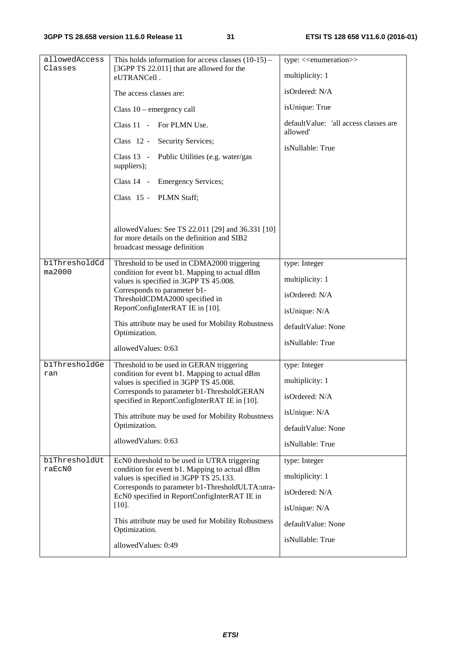| allowedAccess<br>Classes | This holds information for access classes $(10-15)$ –<br>[3GPP TS 22.011] that are allowed for the<br>eUTRANCell.<br>The access classes are:<br>Class $10$ – emergency call<br>Class 11 - For PLMN Use.                                                                                                                                             | type: < <enumeration>&gt;<br/>multiplicity: 1<br/>isOrdered: N/A<br/>isUnique: True<br/>defaultValue: 'all access classes are</enumeration> |
|--------------------------|-----------------------------------------------------------------------------------------------------------------------------------------------------------------------------------------------------------------------------------------------------------------------------------------------------------------------------------------------------|---------------------------------------------------------------------------------------------------------------------------------------------|
|                          | Class 12 - Security Services;<br>Class 13 - Public Utilities (e.g. water/gas<br>suppliers);<br>Class 14 - Emergency Services;<br>Class 15 - PLMN Staff;                                                                                                                                                                                             | allowed'<br>isNullable: True                                                                                                                |
|                          | allowed Values: See TS 22.011 [29] and 36.331 [10]<br>for more details on the definition and SIB2<br>broadcast message definition                                                                                                                                                                                                                   |                                                                                                                                             |
| b1ThresholdCd<br>ma2000  | Threshold to be used in CDMA2000 triggering<br>condition for event b1. Mapping to actual dBm<br>values is specified in 3GPP TS 45.008.<br>Corresponds to parameter b1-<br>ThresholdCDMA2000 specified in<br>ReportConfigInterRAT IE in [10].<br>This attribute may be used for Mobility Robustness<br>Optimization.<br>allowedValues: 0:63          | type: Integer<br>multiplicity: 1<br>isOrdered: N/A<br>isUnique: N/A<br>defaultValue: None<br>isNullable: True                               |
| b1ThresholdGe<br>ran     | Threshold to be used in GERAN triggering<br>condition for event b1. Mapping to actual dBm<br>values is specified in 3GPP TS 45.008.<br>Corresponds to parameter b1-ThresholdGERAN<br>specified in ReportConfigInterRAT IE in [10].<br>This attribute may be used for Mobility Robustness<br>Optimization.<br>allowedValues: 0:63                    | type: Integer<br>multiplicity: 1<br>isOrdered: N/A<br>isUnique: N/A<br>defaultValue: None<br>isNullable: True                               |
| b1ThresholdUt<br>raEcN0  | EcN0 threshold to be used in UTRA triggering<br>condition for event b1. Mapping to actual dBm<br>values is specified in 3GPP TS 25.133.<br>Corresponds to parameter b1-ThresholdULTA:utra-<br>EcN0 specified in ReportConfigInterRAT IE in<br>$[10].$<br>This attribute may be used for Mobility Robustness<br>Optimization.<br>allowedValues: 0:49 | type: Integer<br>multiplicity: 1<br>isOrdered: N/A<br>isUnique: N/A<br>defaultValue: None<br>isNullable: True                               |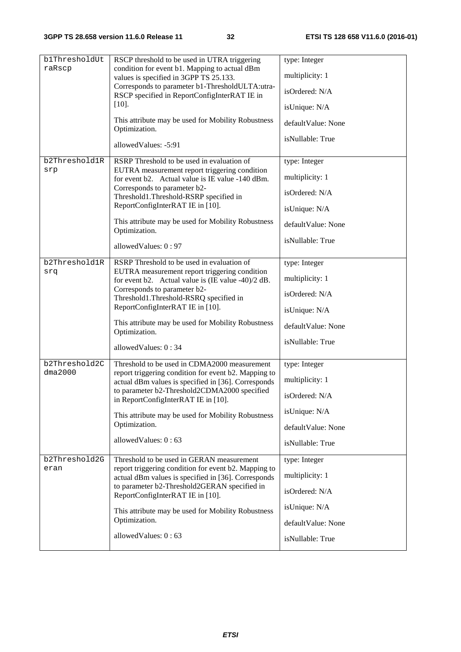| blThresholdUt | RSCP threshold to be used in UTRA triggering                                                                | type: Integer      |
|---------------|-------------------------------------------------------------------------------------------------------------|--------------------|
| raRscp        | condition for event b1. Mapping to actual dBm                                                               |                    |
|               | values is specified in 3GPP TS 25.133.                                                                      | multiplicity: 1    |
|               | Corresponds to parameter b1-ThresholdULTA:utra-<br>RSCP specified in ReportConfigInterRAT IE in             | isOrdered: N/A     |
|               | $[10]$ .                                                                                                    | isUnique: N/A      |
|               | This attribute may be used for Mobility Robustness<br>Optimization.                                         | defaultValue: None |
|               | allowedValues: -5:91                                                                                        | isNullable: True   |
| b2Threshold1R | RSRP Threshold to be used in evaluation of                                                                  | type: Integer      |
| srp           | EUTRA measurement report triggering condition<br>for event b2. Actual value is IE value -140 dBm.           | multiplicity: 1    |
|               | Corresponds to parameter b2-<br>Threshold1.Threshold-RSRP specified in                                      | isOrdered: N/A     |
|               | ReportConfigInterRAT IE in [10].                                                                            | isUnique: N/A      |
|               | This attribute may be used for Mobility Robustness<br>Optimization.                                         | defaultValue: None |
|               | allowedValues: 0:97                                                                                         | isNullable: True   |
| b2Threshold1R | RSRP Threshold to be used in evaluation of                                                                  | type: Integer      |
| srq           | EUTRA measurement report triggering condition<br>for event b2. Actual value is $(IE value -40)/2 dB$ .      | multiplicity: 1    |
|               | Corresponds to parameter b2-<br>Threshold1.Threshold-RSRQ specified in                                      | isOrdered: N/A     |
|               | ReportConfigInterRAT IE in [10].                                                                            | isUnique: N/A      |
|               | This attribute may be used for Mobility Robustness<br>Optimization.                                         | defaultValue: None |
|               | allowedValues: 0:34                                                                                         | isNullable: True   |
| b2Threshold2C | Threshold to be used in CDMA2000 measurement                                                                | type: Integer      |
| dma2000       | report triggering condition for event b2. Mapping to<br>actual dBm values is specified in [36]. Corresponds | multiplicity: 1    |
|               | to parameter b2-Threshold2CDMA2000 specified<br>in ReportConfigInterRAT IE in [10].                         | isOrdered: N/A     |
|               | This attribute may be used for Mobility Robustness                                                          | isUnique: N/A      |
|               | Optimization.                                                                                               | defaultValue: None |
|               | allowedValues: 0:63                                                                                         | isNullable: True   |
| b2Threshold2G | Threshold to be used in GERAN measurement                                                                   | type: Integer      |
| eran          | report triggering condition for event b2. Mapping to<br>actual dBm values is specified in [36]. Corresponds | multiplicity: 1    |
|               | to parameter b2-Threshold2GERAN specified in<br>ReportConfigInterRAT IE in [10].                            | isOrdered: N/A     |
|               | This attribute may be used for Mobility Robustness                                                          | isUnique: N/A      |
|               | Optimization.                                                                                               | defaultValue: None |
|               | allowedValues: 0:63                                                                                         | isNullable: True   |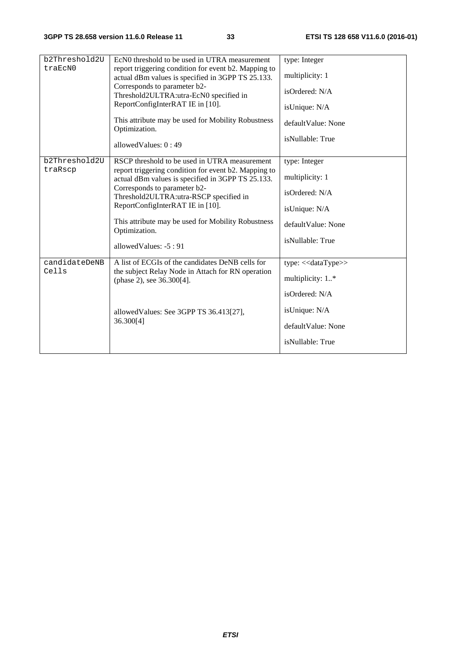| b2Threshold2U | EcN0 threshold to be used in UTRA measurement                                                             | type: Integer            |
|---------------|-----------------------------------------------------------------------------------------------------------|--------------------------|
| traEcN0       | report triggering condition for event b2. Mapping to<br>actual dBm values is specified in 3GPP TS 25.133. | multiplicity: 1          |
|               | Corresponds to parameter b2-<br>Threshold2ULTRA:utra-EcN0 specified in                                    | isOrdered: N/A           |
|               | ReportConfigInterRAT IE in [10].                                                                          | isUnique: N/A            |
|               | This attribute may be used for Mobility Robustness<br>Optimization.                                       | default Value: None      |
|               | allowed Values: $0:49$                                                                                    | isNullable: True         |
| b2Threshold2U | RSCP threshold to be used in UTRA measurement                                                             | type: Integer            |
| traRscp       | report triggering condition for event b2. Mapping to<br>actual dBm values is specified in 3GPP TS 25.133. | multiplicity: 1          |
|               | Corresponds to parameter b2-<br>Threshold2ULTRA:utra-RSCP specified in                                    | isOrdered: N/A           |
|               | ReportConfigInterRAT IE in [10].                                                                          | isUnique: N/A            |
|               | This attribute may be used for Mobility Robustness<br>Optimization.                                       | defaultValue: None       |
|               | allowedValues: -5:91                                                                                      | isNullable: True         |
| candidateDeNB | A list of ECGIs of the candidates DeNB cells for                                                          | type: $<<$ dataType $>>$ |
| Cells         | the subject Relay Node in Attach for RN operation<br>(phase 2), see 36.300[4].                            | multiplicity: 1*         |
|               |                                                                                                           | isOrdered: N/A           |
|               | allowed Values: See 3GPP TS 36.413[27],<br>36.300[4]                                                      | isUnique: N/A            |
|               |                                                                                                           | defaultValue: None       |
|               |                                                                                                           | isNullable: True         |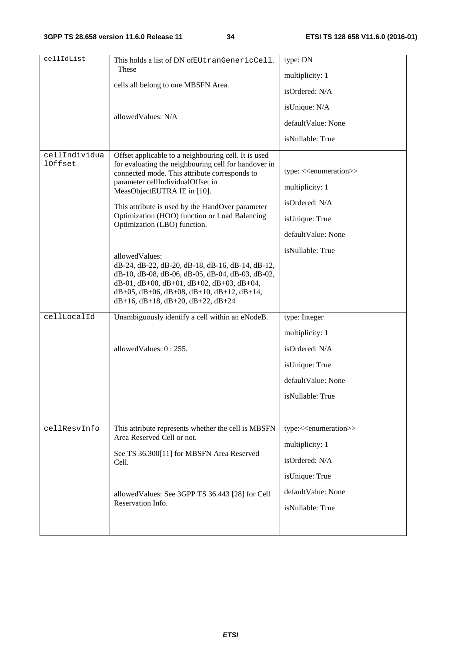| cellIdList                      | This holds a list of DN ofEUtranGenericCell.                                                                                                                                                                                                                                                            | type: DN                                                                       |
|---------------------------------|---------------------------------------------------------------------------------------------------------------------------------------------------------------------------------------------------------------------------------------------------------------------------------------------------------|--------------------------------------------------------------------------------|
|                                 | These                                                                                                                                                                                                                                                                                                   |                                                                                |
|                                 | cells all belong to one MBSFN Area.                                                                                                                                                                                                                                                                     | multiplicity: 1                                                                |
|                                 |                                                                                                                                                                                                                                                                                                         | isOrdered: N/A                                                                 |
|                                 |                                                                                                                                                                                                                                                                                                         | isUnique: N/A                                                                  |
|                                 | allowedValues: N/A                                                                                                                                                                                                                                                                                      | defaultValue: None                                                             |
|                                 |                                                                                                                                                                                                                                                                                                         | isNullable: True                                                               |
| cellIndividua<br><b>lOffset</b> | Offset applicable to a neighbouring cell. It is used<br>for evaluating the neighbouring cell for handover in<br>connected mode. This attribute corresponds to<br>parameter cellIndividualOffset in<br>MeasObjectEUTRA IE in [10].<br>This attribute is used by the HandOver parameter                   | type: < <enumeration>&gt;<br/>multiplicity: 1<br/>isOrdered: N/A</enumeration> |
|                                 | Optimization (HOO) function or Load Balancing                                                                                                                                                                                                                                                           | isUnique: True                                                                 |
|                                 | Optimization (LBO) function.                                                                                                                                                                                                                                                                            | defaultValue: None                                                             |
|                                 | allowedValues:<br>dB-24, dB-22, dB-20, dB-18, dB-16, dB-14, dB-12,<br>dB-10, dB-08, dB-06, dB-05, dB-04, dB-03, dB-02,<br>$dB-01$ , $dB+00$ , $dB+01$ , $dB+02$ , $dB+03$ , $dB+04$ ,<br>$dB+05$ , $dB+06$ , $dB+08$ , $dB+10$ , $dB+12$ , $dB+14$ ,<br>$dB+16$ , $dB+18$ , $dB+20$ , $dB+22$ , $dB+24$ | isNullable: True                                                               |
| cellLocalId                     | Unambiguously identify a cell within an eNodeB.                                                                                                                                                                                                                                                         | type: Integer                                                                  |
|                                 |                                                                                                                                                                                                                                                                                                         | multiplicity: 1                                                                |
|                                 | allowed Values: 0:255.                                                                                                                                                                                                                                                                                  | isOrdered: N/A                                                                 |
|                                 |                                                                                                                                                                                                                                                                                                         | isUnique: True                                                                 |
|                                 |                                                                                                                                                                                                                                                                                                         | defaultValue: None                                                             |
|                                 |                                                                                                                                                                                                                                                                                                         | isNullable: True                                                               |
|                                 |                                                                                                                                                                                                                                                                                                         |                                                                                |
| cellResvInfo                    | This attribute represents whether the cell is MBSFN<br>Area Reserved Cell or not.                                                                                                                                                                                                                       | type:< <enumeration>&gt;</enumeration>                                         |
|                                 | See TS 36.300[11] for MBSFN Area Reserved                                                                                                                                                                                                                                                               | multiplicity: 1                                                                |
|                                 | Cell.                                                                                                                                                                                                                                                                                                   | isOrdered: N/A                                                                 |
|                                 |                                                                                                                                                                                                                                                                                                         | isUnique: True                                                                 |
|                                 | allowed Values: See 3GPP TS 36.443 [28] for Cell                                                                                                                                                                                                                                                        | defaultValue: None                                                             |
|                                 | Reservation Info.                                                                                                                                                                                                                                                                                       | isNullable: True                                                               |
|                                 |                                                                                                                                                                                                                                                                                                         |                                                                                |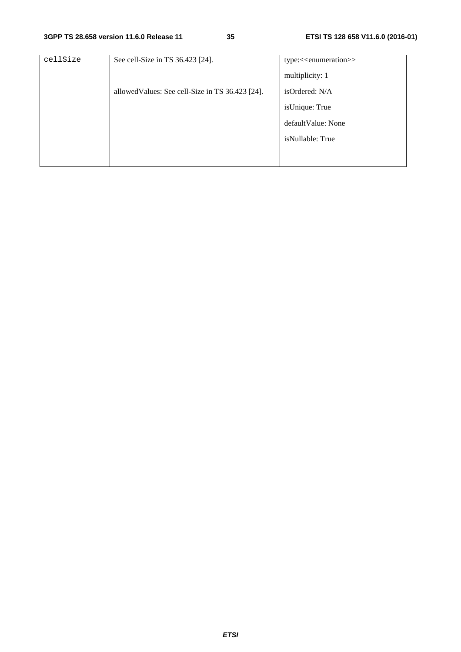| See cell-Size in TS 36.423 [24].                 | type:< <enumeration>&gt;</enumeration> |
|--------------------------------------------------|----------------------------------------|
|                                                  | multiplicity: 1                        |
| allowed Values: See cell-Size in TS 36.423 [24]. | isOrdered: N/A                         |
|                                                  | isUnique: True                         |
|                                                  | default Value: None                    |
|                                                  | isNullable: True                       |
|                                                  |                                        |
|                                                  |                                        |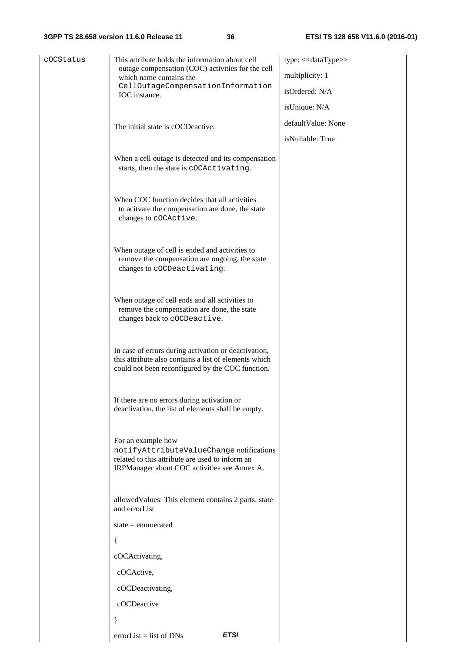#### **3GPP TS 28.658 version 11.6.0 Release 11 36 ETSI TS 128 658 V11.6.0 (2016-01)**

| cOCStatus | This attribute holds the information about cell                                                                                                                   | type: << dataType>> |
|-----------|-------------------------------------------------------------------------------------------------------------------------------------------------------------------|---------------------|
|           | outage compensation (COC) activities for the cell<br>which name contains the                                                                                      | multiplicity: 1     |
|           | CellOutageCompensationInformation<br>IOC instance.                                                                                                                | isOrdered: N/A      |
|           |                                                                                                                                                                   | isUnique: N/A       |
|           | The initial state is cOCDeactive.                                                                                                                                 | defaultValue: None  |
|           |                                                                                                                                                                   | isNullable: True    |
|           | When a cell outage is detected and its compensation<br>starts, then the state is cOCActivating.                                                                   |                     |
|           | When COC function decides that all activities<br>to acitvate the compensation are done, the state<br>changes to cOCActive.                                        |                     |
|           | When outage of cell is ended and activities to<br>remove the compensation are ongoing, the state<br>changes to cOCDeactivating.                                   |                     |
|           | When outage of cell ends and all activities to<br>remove the compensation are done, the state<br>changes back to cOCDeactive.                                     |                     |
|           | In case of errors during activation or deactivation,<br>this attribute also contains a list of elements which<br>could not been reconfigured by the COC function. |                     |
|           | If there are no errors during activation or<br>deactivation, the list of elements shall be empty.                                                                 |                     |
|           | For an example how<br>notifyAttributeValueChange notifications<br>related to this attribute are used to inform an<br>IRPManager about COC activities see Annex A. |                     |
|           | allowed Values: This element contains 2 parts, state<br>and errorList                                                                                             |                     |
|           | state $=$ enumerated                                                                                                                                              |                     |
|           |                                                                                                                                                                   |                     |
|           | cOCActivating,                                                                                                                                                    |                     |
|           | cOCActive,                                                                                                                                                        |                     |
|           | cOCDeactivating,                                                                                                                                                  |                     |
|           | cOCDeactive                                                                                                                                                       |                     |
|           | <b>ETSI</b><br>$errorList = list of DNS$                                                                                                                          |                     |
|           |                                                                                                                                                                   |                     |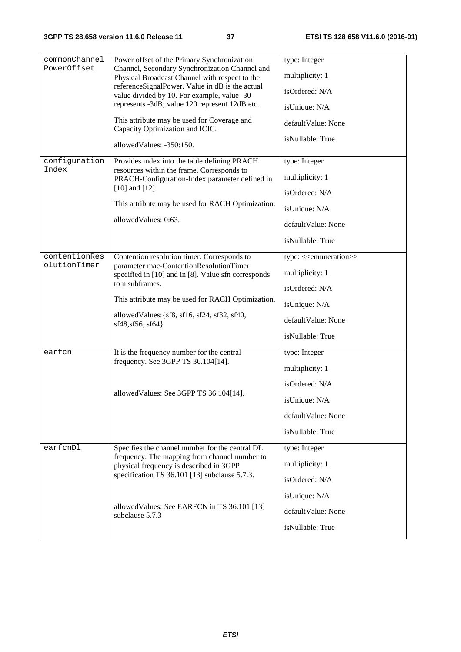| commonChannel | Power offset of the Primary Synchronization                                                                                                      | type: Integer                           |
|---------------|--------------------------------------------------------------------------------------------------------------------------------------------------|-----------------------------------------|
| PowerOffset   | Channel, Secondary Synchronization Channel and                                                                                                   | multiplicity: 1                         |
|               | Physical Broadcast Channel with respect to the<br>referenceSignalPower. Value in dB is the actual<br>value divided by 10. For example, value -30 |                                         |
|               |                                                                                                                                                  | isOrdered: N/A                          |
|               | represents -3dB; value 120 represent 12dB etc.                                                                                                   | isUnique: N/A                           |
|               | This attribute may be used for Coverage and<br>Capacity Optimization and ICIC.                                                                   | defaultValue: None                      |
|               | allowedValues: -350:150.                                                                                                                         | isNullable: True                        |
| configuration | Provides index into the table defining PRACH                                                                                                     | type: Integer                           |
| Index         | resources within the frame. Corresponds to<br>PRACH-Configuration-Index parameter defined in                                                     | multiplicity: 1                         |
|               | $[10]$ and $[12]$ .                                                                                                                              | isOrdered: N/A                          |
|               | This attribute may be used for RACH Optimization.                                                                                                | isUnique: N/A                           |
|               | allowedValues: 0:63.                                                                                                                             |                                         |
|               |                                                                                                                                                  | defaultValue: None                      |
|               |                                                                                                                                                  | isNullable: True                        |
| contentionRes | Contention resolution timer. Corresponds to                                                                                                      | type: < <enumeration>&gt;</enumeration> |
| olutionTimer  | parameter mac-ContentionResolutionTimer<br>specified in [10] and in [8]. Value sfn corresponds                                                   | multiplicity: 1                         |
|               | to n subframes.                                                                                                                                  | isOrdered: N/A                          |
|               | This attribute may be used for RACH Optimization.                                                                                                | isUnique: N/A                           |
|               | allowedValues: {sf8, sf16, sf24, sf32, sf40,<br>sf48, sf56, sf64}                                                                                | defaultValue: None                      |
|               |                                                                                                                                                  | isNullable: True                        |
| earfcn        | It is the frequency number for the central                                                                                                       | type: Integer                           |
|               | frequency. See 3GPP TS 36.104[14].                                                                                                               | multiplicity: 1                         |
|               |                                                                                                                                                  | isOrdered: N/A                          |
|               | allowedValues: See 3GPP TS 36.104[14].                                                                                                           | isUnique: N/A                           |
|               |                                                                                                                                                  | defaultValue: None                      |
|               |                                                                                                                                                  | isNullable: True                        |
| earfcnDl      | Specifies the channel number for the central DL                                                                                                  | type: Integer                           |
|               | frequency. The mapping from channel number to                                                                                                    | multiplicity: 1                         |
|               | physical frequency is described in 3GPP<br>specification TS 36.101 [13] subclause 5.7.3.                                                         | isOrdered: N/A                          |
|               |                                                                                                                                                  |                                         |
|               | allowed Values: See EARFCN in TS 36.101 [13]                                                                                                     | isUnique: N/A                           |
|               | subclause 5.7.3                                                                                                                                  | defaultValue: None                      |
|               |                                                                                                                                                  | isNullable: True                        |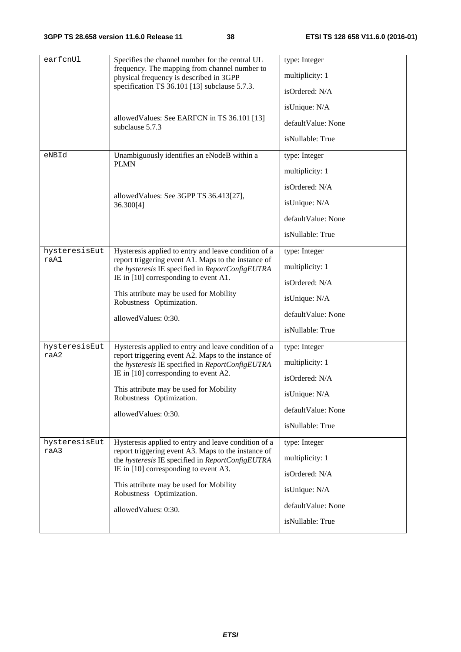| earfcnUl      | Specifies the channel number for the central UL                                                                                                    | type: Integer      |
|---------------|----------------------------------------------------------------------------------------------------------------------------------------------------|--------------------|
|               | frequency. The mapping from channel number to                                                                                                      |                    |
|               | physical frequency is described in 3GPP                                                                                                            | multiplicity: 1    |
|               | specification TS 36.101 [13] subclause 5.7.3.                                                                                                      | isOrdered: N/A     |
|               |                                                                                                                                                    | isUnique: N/A      |
|               | allowed Values: See EARFCN in TS 36.101 [13]<br>subclause 5.7.3                                                                                    | defaultValue: None |
|               |                                                                                                                                                    | isNullable: True   |
| eNBId         | Unambiguously identifies an eNodeB within a<br><b>PLMN</b>                                                                                         | type: Integer      |
|               |                                                                                                                                                    | multiplicity: 1    |
|               |                                                                                                                                                    | isOrdered: N/A     |
|               | allowed Values: See 3GPP TS 36.413[27],<br>36.300[4]                                                                                               | isUnique: N/A      |
|               |                                                                                                                                                    | defaultValue: None |
|               |                                                                                                                                                    | isNullable: True   |
| hysteresisEut | Hysteresis applied to entry and leave condition of a                                                                                               | type: Integer      |
| raA1          | report triggering event A1. Maps to the instance of<br>the hysteresis IE specified in ReportConfigEUTRA<br>IE in $[10]$ corresponding to event A1. | multiplicity: 1    |
|               |                                                                                                                                                    | isOrdered: N/A     |
|               | This attribute may be used for Mobility<br>Robustness Optimization.                                                                                | isUnique: N/A      |
|               | allowedValues: 0:30.                                                                                                                               | defaultValue: None |
|               |                                                                                                                                                    | isNullable: True   |
| hysteresisEut | Hysteresis applied to entry and leave condition of a                                                                                               | type: Integer      |
| raA2          | report triggering event A2. Maps to the instance of<br>the hysteresis IE specified in ReportConfigEUTRA                                            | multiplicity: 1    |
|               | IE in $[10]$ corresponding to event A2.                                                                                                            | isOrdered: N/A     |
|               | This attribute may be used for Mobility<br>Robustness Optimization.                                                                                | isUnique: N/A      |
|               | allowedValues: 0:30.                                                                                                                               | defaultValue: None |
|               |                                                                                                                                                    | isNullable: True   |
| hysteresisEut | Hysteresis applied to entry and leave condition of a                                                                                               | type: Integer      |
| raA3          | report triggering event A3. Maps to the instance of<br>the hysteresis IE specified in ReportConfigEUTRA<br>IE in [10] corresponding to event A3.   | multiplicity: 1    |
|               |                                                                                                                                                    | isOrdered: N/A     |
|               | This attribute may be used for Mobility<br>Robustness Optimization.                                                                                | isUnique: N/A      |
|               | allowedValues: 0:30.                                                                                                                               | defaultValue: None |
|               |                                                                                                                                                    | isNullable: True   |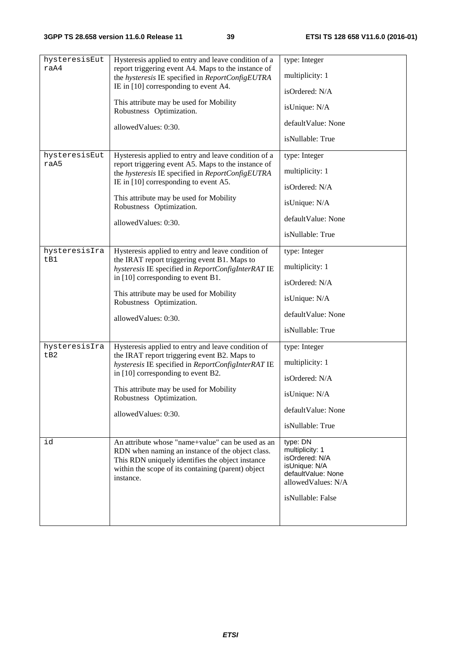| hysteresisEut | Hysteresis applied to entry and leave condition of a                                                                                                                                                                         | type: Integer                                                                                                                   |
|---------------|------------------------------------------------------------------------------------------------------------------------------------------------------------------------------------------------------------------------------|---------------------------------------------------------------------------------------------------------------------------------|
| raA4          | report triggering event A4. Maps to the instance of                                                                                                                                                                          |                                                                                                                                 |
|               | the hysteresis IE specified in ReportConfigEUTRA                                                                                                                                                                             | multiplicity: 1                                                                                                                 |
|               | IE in [10] corresponding to event A4.                                                                                                                                                                                        | isOrdered: N/A                                                                                                                  |
|               | This attribute may be used for Mobility<br>Robustness Optimization.                                                                                                                                                          | isUnique: N/A                                                                                                                   |
|               | allowedValues: 0:30.                                                                                                                                                                                                         | defaultValue: None                                                                                                              |
|               |                                                                                                                                                                                                                              | isNullable: True                                                                                                                |
| hysteresisEut | Hysteresis applied to entry and leave condition of a                                                                                                                                                                         | type: Integer                                                                                                                   |
| raA5          | report triggering event A5. Maps to the instance of<br>the hysteresis IE specified in ReportConfigEUTRA                                                                                                                      | multiplicity: 1                                                                                                                 |
|               | IE in $[10]$ corresponding to event A5.                                                                                                                                                                                      | isOrdered: N/A                                                                                                                  |
|               | This attribute may be used for Mobility<br>Robustness Optimization.                                                                                                                                                          | isUnique: N/A                                                                                                                   |
|               | allowedValues: 0:30.                                                                                                                                                                                                         | defaultValue: None                                                                                                              |
|               |                                                                                                                                                                                                                              | isNullable: True                                                                                                                |
| hysteresisIra | Hysteresis applied to entry and leave condition of                                                                                                                                                                           | type: Integer                                                                                                                   |
| tB1           | the IRAT report triggering event B1. Maps to<br>hysteresis IE specified in ReportConfigInterRAT IE<br>in [10] corresponding to event B1.                                                                                     | multiplicity: 1                                                                                                                 |
|               |                                                                                                                                                                                                                              | isOrdered: N/A                                                                                                                  |
|               | This attribute may be used for Mobility<br>Robustness Optimization.                                                                                                                                                          | isUnique: N/A                                                                                                                   |
|               | allowedValues: 0:30.                                                                                                                                                                                                         | defaultValue: None                                                                                                              |
|               |                                                                                                                                                                                                                              | isNullable: True                                                                                                                |
| hysteresisIra | Hysteresis applied to entry and leave condition of                                                                                                                                                                           | type: Integer                                                                                                                   |
| tB2           | the IRAT report triggering event B2. Maps to<br>hysteresis IE specified in ReportConfigInterRAT IE                                                                                                                           | multiplicity: 1                                                                                                                 |
|               | in [10] corresponding to event B2.<br>This attribute may be used for Mobility<br>Robustness Optimization.                                                                                                                    | isOrdered: N/A                                                                                                                  |
|               |                                                                                                                                                                                                                              | isUnique: N/A                                                                                                                   |
|               | allowedValues: 0:30.                                                                                                                                                                                                         | defaultValue: None                                                                                                              |
|               |                                                                                                                                                                                                                              | isNullable: True                                                                                                                |
| id            | An attribute whose "name+value" can be used as an<br>RDN when naming an instance of the object class.<br>This RDN uniquely identifies the object instance<br>within the scope of its containing (parent) object<br>instance. | type: DN<br>multiplicity: 1<br>isOrdered: N/A<br>isUnique: N/A<br>defaultValue: None<br>allowedValues: N/A<br>isNullable: False |
|               |                                                                                                                                                                                                                              |                                                                                                                                 |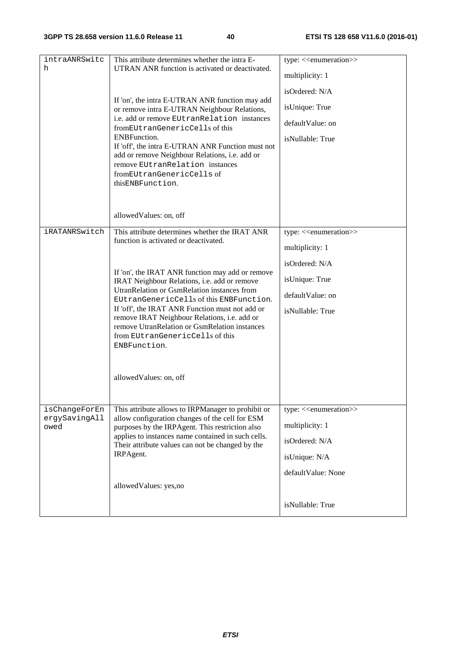| intraANRSwitc<br>h                     | This attribute determines whether the intra E-<br>UTRAN ANR function is activated or deactivated.<br>If 'on', the intra E-UTRAN ANR function may add<br>or remove intra E-UTRAN Neighbour Relations,<br>i.e. add or remove EUtranRelation instances<br>fromEUtranGenericCells of this<br><b>ENBFunction.</b><br>If 'off', the intra E-UTRAN ANR Function must not<br>add or remove Neighbour Relations, i.e. add or<br>remove EUtranRelation instances<br>fromEUtranGenericCells of<br>thisENBFunction.                | type: << <enumeration>&gt;<br/>multiplicity: 1<br/>isOrdered: N/A<br/>isUnique: True<br/>defaultValue: on<br/>isNullable: True</enumeration> |
|----------------------------------------|------------------------------------------------------------------------------------------------------------------------------------------------------------------------------------------------------------------------------------------------------------------------------------------------------------------------------------------------------------------------------------------------------------------------------------------------------------------------------------------------------------------------|----------------------------------------------------------------------------------------------------------------------------------------------|
|                                        | allowedValues: on, off                                                                                                                                                                                                                                                                                                                                                                                                                                                                                                 |                                                                                                                                              |
| iRATANRSwitch                          | This attribute determines whether the IRAT ANR<br>function is activated or deactivated.<br>If 'on', the IRAT ANR function may add or remove<br>IRAT Neighbour Relations, i.e. add or remove<br>UtranRelation or GsmRelation instances from<br>EUtranGenericCells of this ENBFunction.<br>If 'off', the IRAT ANR Function must not add or<br>remove IRAT Neighbour Relations, i.e. add or<br>remove UtranRelation or GsmRelation instances<br>from EUtranGenericCells of this<br>ENBFunction.<br>allowedValues: on, off | type: < <enumeration>&gt;<br/>multiplicity: 1<br/>isOrdered: N/A<br/>isUnique: True<br/>defaultValue: on<br/>isNullable: True</enumeration>  |
| isChangeForEn<br>ergySavingAll<br>owed | This attribute allows to IRPManager to prohibit or<br>allow configuration changes of the cell for ESM<br>purposes by the IRPAgent. This restriction also<br>applies to instances name contained in such cells.<br>Their attribute values can not be changed by the<br>IRPAgent.<br>allowedValues: yes,no                                                                                                                                                                                                               | type: < <enumeration>&gt;<br/>multiplicity: 1<br/>isOrdered: N/A<br/>isUnique: N/A<br/>defaultValue: None<br/>isNullable: True</enumeration> |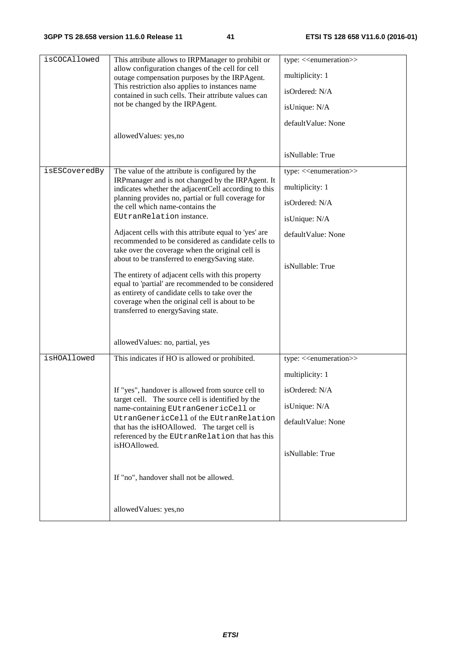| isCOCAllowed  | This attribute allows to IRPManager to prohibit or<br>allow configuration changes of the cell for cell                                                                                                                                              | type: < <enumeration>&gt;</enumeration> |
|---------------|-----------------------------------------------------------------------------------------------------------------------------------------------------------------------------------------------------------------------------------------------------|-----------------------------------------|
|               | outage compensation purposes by the IRPAgent.                                                                                                                                                                                                       | multiplicity: 1                         |
|               | This restriction also applies to instances name<br>contained in such cells. Their attribute values can                                                                                                                                              | isOrdered: N/A                          |
|               | not be changed by the IRPAgent.                                                                                                                                                                                                                     | isUnique: N/A                           |
|               |                                                                                                                                                                                                                                                     | defaultValue: None                      |
|               | allowedValues: yes,no                                                                                                                                                                                                                               |                                         |
|               |                                                                                                                                                                                                                                                     | isNullable: True                        |
| isESCoveredBy | The value of the attribute is configured by the<br>IRPmanager and is not changed by the IRPAgent. It                                                                                                                                                | type: < <enumeration>&gt;</enumeration> |
|               | indicates whether the adjacentCell according to this                                                                                                                                                                                                | multiplicity: 1                         |
|               | planning provides no, partial or full coverage for<br>the cell which name-contains the                                                                                                                                                              | isOrdered: N/A                          |
|               | EUtranRelation instance.                                                                                                                                                                                                                            | isUnique: N/A                           |
|               | Adjacent cells with this attribute equal to 'yes' are<br>recommended to be considered as candidate cells to<br>take over the coverage when the original cell is                                                                                     | defaultValue: None                      |
|               | about to be transferred to energySaving state.                                                                                                                                                                                                      | isNullable: True                        |
|               | The entirety of adjacent cells with this property<br>equal to 'partial' are recommended to be considered<br>as entirety of candidate cells to take over the<br>coverage when the original cell is about to be<br>transferred to energySaving state. |                                         |
|               | allowed Values: no, partial, yes                                                                                                                                                                                                                    |                                         |
| isHOAllowed   | This indicates if HO is allowed or prohibited.                                                                                                                                                                                                      | type: < <enumeration>&gt;</enumeration> |
|               |                                                                                                                                                                                                                                                     | multiplicity: 1                         |
|               | If "yes", handover is allowed from source cell to                                                                                                                                                                                                   | isOrdered: N/A                          |
|               | target cell. The source cell is identified by the                                                                                                                                                                                                   | isUnique: N/A                           |
|               | name-containing EUtranGenericCell or<br>UtranGenericCell of the EUtranRelation                                                                                                                                                                      | defaultValue: None                      |
|               | that has the isHOAllowed. The target cell is<br>referenced by the EUtranRelation that has this                                                                                                                                                      |                                         |
|               | isHOAllowed.                                                                                                                                                                                                                                        | isNullable: True                        |
|               | If "no", handover shall not be allowed.                                                                                                                                                                                                             |                                         |
|               | allowedValues: yes,no                                                                                                                                                                                                                               |                                         |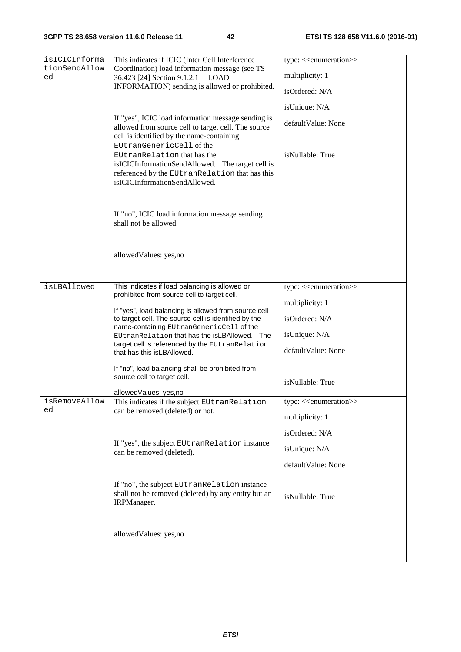| isICICInforma<br>tionSendAllow | This indicates if ICIC (Inter Cell Interference                                                              | type: < <enumeration>&gt;</enumeration> |
|--------------------------------|--------------------------------------------------------------------------------------------------------------|-----------------------------------------|
| ed                             | Coordination) load information message (see TS<br>36.423 [24] Section 9.1.2.1 LOAD                           | multiplicity: 1                         |
|                                | INFORMATION) sending is allowed or prohibited.                                                               | isOrdered: N/A                          |
|                                |                                                                                                              | isUnique: N/A                           |
|                                | If "yes", ICIC load information message sending is<br>allowed from source cell to target cell. The source    | defaultValue: None                      |
|                                | cell is identified by the name-containing                                                                    |                                         |
|                                | EUtranGenericCell of the<br>EUtranRelation that has the                                                      | isNullable: True                        |
|                                | isICICInformationSendAllowed. The target cell is                                                             |                                         |
|                                | referenced by the EUtranRelation that has this<br>isICICInformationSendAllowed.                              |                                         |
|                                |                                                                                                              |                                         |
|                                | If "no", ICIC load information message sending                                                               |                                         |
|                                | shall not be allowed.                                                                                        |                                         |
|                                |                                                                                                              |                                         |
|                                | allowedValues: yes,no                                                                                        |                                         |
|                                |                                                                                                              |                                         |
| isLBAllowed                    | This indicates if load balancing is allowed or                                                               | type: < <enumeration>&gt;</enumeration> |
|                                | prohibited from source cell to target cell.                                                                  | multiplicity: 1                         |
|                                | If "yes", load balancing is allowed from source cell<br>to target cell. The source cell is identified by the | isOrdered: N/A                          |
|                                | name-containing EUtranGenericCell of the<br>EUtranRelation that has the isLBAllowed. The                     | isUnique: N/A                           |
|                                | target cell is referenced by the EUtranRelation<br>that has this is LBAllowed.                               | defaultValue: None                      |
|                                | If "no", load balancing shall be prohibited from                                                             |                                         |
|                                | source cell to target cell.                                                                                  | isNullable: True                        |
|                                | allowedValues: yes,no                                                                                        |                                         |
| isRemoveAllow<br>ed            | This indicates if the subject EUtranRelation<br>can be removed (deleted) or not.                             | type: < <enumeration>&gt;</enumeration> |
|                                |                                                                                                              | multiplicity: 1                         |
|                                | If "yes", the subject EUtranRelation instance                                                                | isOrdered: N/A                          |
|                                | can be removed (deleted).                                                                                    | isUnique: N/A                           |
|                                |                                                                                                              | defaultValue: None                      |
|                                | If "no", the subject EUtranRelation instance                                                                 |                                         |
|                                | shall not be removed (deleted) by any entity but an<br>IRPManager.                                           | isNullable: True                        |
|                                |                                                                                                              |                                         |
|                                | allowedValues: yes,no                                                                                        |                                         |
|                                |                                                                                                              |                                         |
|                                |                                                                                                              |                                         |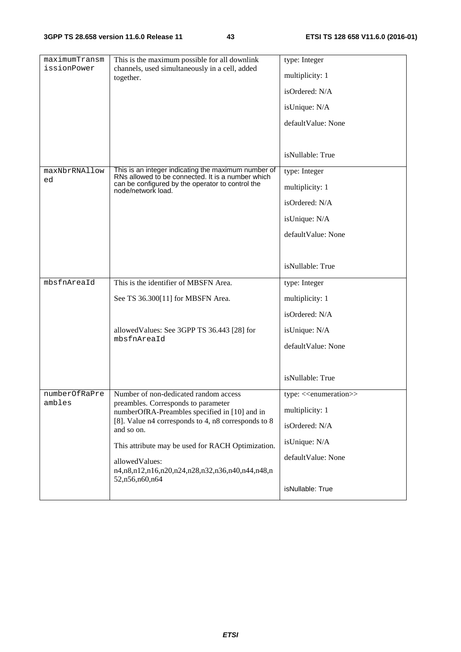| maximumTransm       | This is the maximum possible for all downlink                                                            | type: Integer                           |
|---------------------|----------------------------------------------------------------------------------------------------------|-----------------------------------------|
| issionPower         | channels, used simultaneously in a cell, added                                                           |                                         |
|                     | together.                                                                                                | multiplicity: 1                         |
|                     |                                                                                                          | isOrdered: N/A                          |
|                     |                                                                                                          | isUnique: N/A                           |
|                     |                                                                                                          | defaultValue: None                      |
|                     |                                                                                                          |                                         |
|                     |                                                                                                          | isNullable: True                        |
| maxNbrRNAllow<br>ed | This is an integer indicating the maximum number of<br>RNs allowed to be connected. It is a number which | type: Integer                           |
|                     | can be configured by the operator to control the<br>node/network load.                                   | multiplicity: 1                         |
|                     |                                                                                                          | isOrdered: N/A                          |
|                     |                                                                                                          | isUnique: N/A                           |
|                     |                                                                                                          | defaultValue: None                      |
|                     |                                                                                                          |                                         |
|                     |                                                                                                          | isNullable: True                        |
| mbsfnAreaId         | This is the identifier of MBSFN Area.                                                                    | type: Integer                           |
|                     | See TS 36.300[11] for MBSFN Area.                                                                        | multiplicity: 1                         |
|                     |                                                                                                          | isOrdered: N/A                          |
|                     | allowed Values: See 3GPP TS 36.443 [28] for                                                              | isUnique: N/A                           |
|                     | mbsfnAreaId                                                                                              | defaultValue: None                      |
|                     |                                                                                                          |                                         |
|                     |                                                                                                          |                                         |
|                     |                                                                                                          | isNullable: True                        |
| numberOfRaPre       | Number of non-dedicated random access                                                                    | type: < <enumeration>&gt;</enumeration> |
| ambles              | preambles. Corresponds to parameter<br>numberOfRA-Preambles specified in [10] and in                     | multiplicity: 1                         |
|                     | [8]. Value n4 corresponds to 4, n8 corresponds to 8<br>and so on.                                        | isOrdered: N/A                          |
|                     | This attribute may be used for RACH Optimization.                                                        | isUnique: N/A                           |
|                     | allowedValues:                                                                                           | defaultValue: None                      |
|                     | n4,n8,n12,n16,n20,n24,n28,n32,n36,n40,n44,n48,n<br>52,n56,n60,n64                                        |                                         |
|                     |                                                                                                          | isNullable: True                        |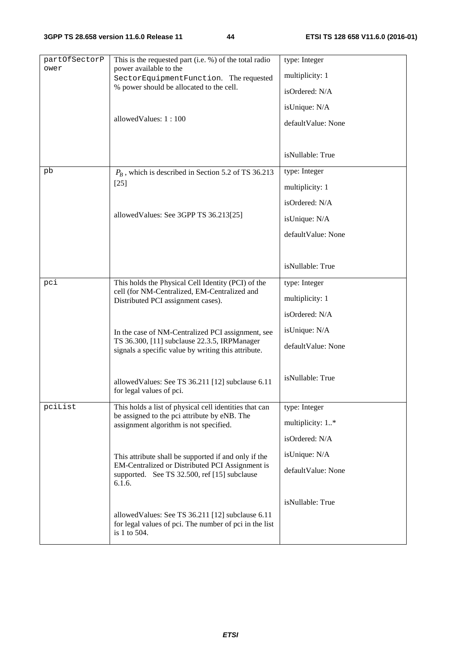| partOfSectorP<br>ower | This is the requested part (i.e. %) of the total radio<br>power available to the<br>SectorEquipmentFunction. The requested<br>% power should be allocated to the cell.<br>allowedValues: 1:100 | type: Integer<br>multiplicity: 1<br>isOrdered: N/A<br>isUnique: N/A<br>defaultValue: None |
|-----------------------|------------------------------------------------------------------------------------------------------------------------------------------------------------------------------------------------|-------------------------------------------------------------------------------------------|
|                       |                                                                                                                                                                                                | isNullable: True                                                                          |
| pb                    | $P_B$ , which is described in Section 5.2 of TS 36.213<br>$[25]$                                                                                                                               | type: Integer<br>multiplicity: 1<br>isOrdered: N/A                                        |
|                       | allowed Values: See 3GPP TS 36.213[25]                                                                                                                                                         | isUnique: N/A<br>defaultValue: None                                                       |
|                       |                                                                                                                                                                                                | isNullable: True                                                                          |
| pci                   | This holds the Physical Cell Identity (PCI) of the<br>cell (for NM-Centralized, EM-Centralized and<br>Distributed PCI assignment cases).                                                       | type: Integer<br>multiplicity: 1<br>isOrdered: N/A                                        |
|                       | In the case of NM-Centralized PCI assignment, see<br>TS 36.300, [11] subclause 22.3.5, IRPManager<br>signals a specific value by writing this attribute.                                       | isUnique: N/A<br>defaultValue: None                                                       |
|                       | allowed Values: See TS 36.211 [12] subclause 6.11<br>for legal values of pci.                                                                                                                  | isNullable: True                                                                          |
| pciList               | This holds a list of physical cell identities that can<br>be assigned to the pci attribute by eNB. The<br>assignment algorithm is not specified.                                               | type: Integer<br>multiplicity: 1*<br>isOrdered: N/A                                       |
|                       | This attribute shall be supported if and only if the<br>EM-Centralized or Distributed PCI Assignment is<br>supported. See TS 32.500, ref [15] subclause<br>6.1.6.                              | isUnique: N/A<br>defaultValue: None                                                       |
|                       | allowed Values: See TS 36.211 [12] subclause 6.11<br>for legal values of pci. The number of pci in the list<br>is 1 to 504.                                                                    | isNullable: True                                                                          |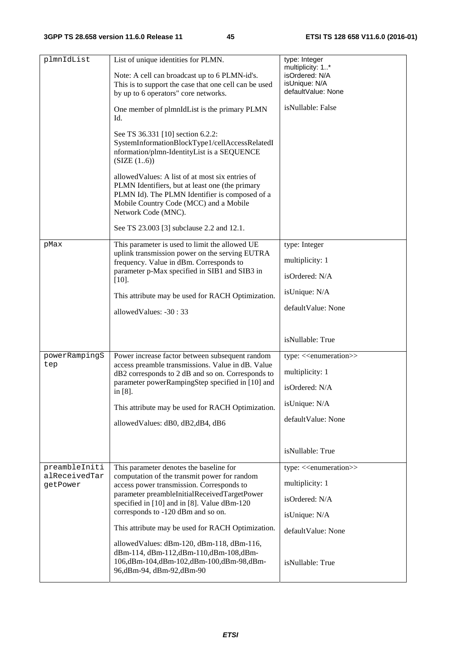| plmnIdList                                 | List of unique identities for PLMN.<br>Note: A cell can broadcast up to 6 PLMN-id's.<br>This is to support the case that one cell can be used<br>by up to 6 operators" core networks.<br>One member of plmnIdList is the primary PLMN<br>Id.<br>See TS 36.331 [10] section 6.2.2:<br>SystemInformationBlockType1/cellAccessRelatedI<br>nformation/plmn-IdentityList is a SEQUENCE<br>(SIZE (16))<br>allowed Values: A list of at most six entries of<br>PLMN Identifiers, but at least one (the primary<br>PLMN Id). The PLMN Identifier is composed of a<br>Mobile Country Code (MCC) and a Mobile<br>Network Code (MNC).<br>See TS 23.003 [3] subclause 2.2 and 12.1. | type: Integer<br>multiplicity: 1*<br>isOrdered: N/A<br>isUnique: N/A<br>defaultValue: None<br>isNullable: False         |
|--------------------------------------------|-------------------------------------------------------------------------------------------------------------------------------------------------------------------------------------------------------------------------------------------------------------------------------------------------------------------------------------------------------------------------------------------------------------------------------------------------------------------------------------------------------------------------------------------------------------------------------------------------------------------------------------------------------------------------|-------------------------------------------------------------------------------------------------------------------------|
| pMax                                       | This parameter is used to limit the allowed UE<br>uplink transmission power on the serving EUTRA<br>frequency. Value in dBm. Corresponds to<br>parameter p-Max specified in SIB1 and SIB3 in<br>$[10].$<br>This attribute may be used for RACH Optimization.<br>allowedValues: -30:33                                                                                                                                                                                                                                                                                                                                                                                   | type: Integer<br>multiplicity: 1<br>isOrdered: N/A<br>isUnique: N/A<br>defaultValue: None                               |
|                                            |                                                                                                                                                                                                                                                                                                                                                                                                                                                                                                                                                                                                                                                                         | isNullable: True                                                                                                        |
| powerRampingS<br>tep                       | Power increase factor between subsequent random<br>access preamble transmissions. Value in dB. Value<br>dB2 corresponds to 2 dB and so on. Corresponds to<br>parameter powerRampingStep specified in [10] and<br>in [8].<br>This attribute may be used for RACH Optimization.<br>allowed Values: dB0, dB2, dB4, dB6                                                                                                                                                                                                                                                                                                                                                     | type: < <enumeration>&gt;<br/>multiplicity: 1<br/>isOrdered: N/A<br/>isUnique: N/A<br/>defaultValue: None</enumeration> |
|                                            |                                                                                                                                                                                                                                                                                                                                                                                                                                                                                                                                                                                                                                                                         | isNullable: True                                                                                                        |
| preambleIniti<br>alReceivedTar<br>getPower | This parameter denotes the baseline for<br>computation of the transmit power for random<br>access power transmission. Corresponds to<br>parameter preambleInitialReceivedTargetPower<br>specified in [10] and in [8]. Value dBm-120<br>corresponds to -120 dBm and so on.<br>This attribute may be used for RACH Optimization.<br>allowed Values: dBm-120, dBm-118, dBm-116,<br>dBm-114, dBm-112, dBm-110, dBm-108, dBm-                                                                                                                                                                                                                                                | type: < <enumeration>&gt;<br/>multiplicity: 1<br/>isOrdered: N/A<br/>isUnique: N/A<br/>defaultValue: None</enumeration> |
|                                            | 106,dBm-104,dBm-102,dBm-100,dBm-98,dBm-<br>96,dBm-94, dBm-92,dBm-90                                                                                                                                                                                                                                                                                                                                                                                                                                                                                                                                                                                                     | isNullable: True                                                                                                        |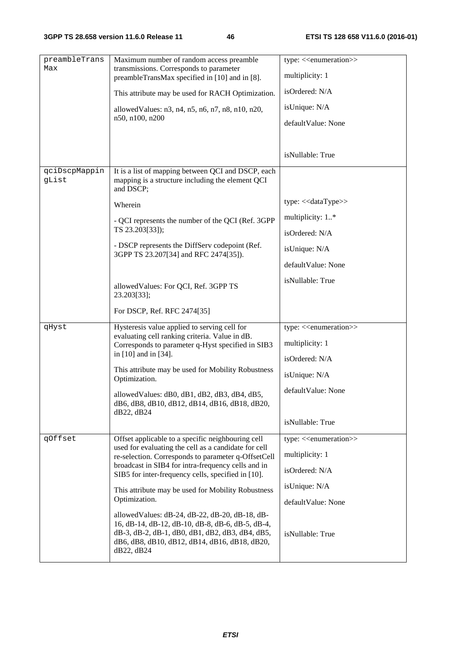| preambleTrans<br>Max   | Maximum number of random access preamble<br>transmissions. Corresponds to parameter                                                                                                                                   |                                         |
|------------------------|-----------------------------------------------------------------------------------------------------------------------------------------------------------------------------------------------------------------------|-----------------------------------------|
|                        | preambleTransMax specified in [10] and in [8].                                                                                                                                                                        | multiplicity: 1                         |
|                        | This attribute may be used for RACH Optimization.                                                                                                                                                                     | isOrdered: N/A                          |
|                        | allowed Values: n3, n4, n5, n6, n7, n8, n10, n20,                                                                                                                                                                     | isUnique: N/A                           |
|                        | n50, n100, n200                                                                                                                                                                                                       | defaultValue: None                      |
|                        |                                                                                                                                                                                                                       |                                         |
|                        |                                                                                                                                                                                                                       | isNullable: True                        |
| qciDscpMappin<br>gList | It is a list of mapping between QCI and DSCP, each<br>mapping is a structure including the element QCI<br>and DSCP;                                                                                                   |                                         |
|                        | Wherein                                                                                                                                                                                                               | type: << dataType>>                     |
|                        | - QCI represents the number of the QCI (Ref. 3GPP                                                                                                                                                                     | multiplicity: 1*                        |
|                        | TS 23.203[33]);                                                                                                                                                                                                       | isOrdered: N/A                          |
|                        | - DSCP represents the DiffServ codepoint (Ref.<br>3GPP TS 23.207[34] and RFC 2474[35]).                                                                                                                               | isUnique: N/A                           |
|                        |                                                                                                                                                                                                                       | defaultValue: None                      |
|                        | allowed Values: For QCI, Ref. 3GPP TS                                                                                                                                                                                 | isNullable: True                        |
|                        | 23.203[33];                                                                                                                                                                                                           |                                         |
|                        | For DSCP, Ref. RFC 2474[35]                                                                                                                                                                                           |                                         |
| qHyst                  | Hysteresis value applied to serving cell for<br>evaluating cell ranking criteria. Value in dB.                                                                                                                        | type: < <enumeration>&gt;</enumeration> |
|                        | Corresponds to parameter q-Hyst specified in SIB3                                                                                                                                                                     | multiplicity: 1                         |
|                        | in [10] and in [34].                                                                                                                                                                                                  | isOrdered: N/A                          |
|                        | This attribute may be used for Mobility Robustness<br>Optimization.                                                                                                                                                   | isUnique: N/A                           |
|                        | allowed Values: dB0, dB1, dB2, dB3, dB4, dB5,<br>dB6, dB8, dB10, dB12, dB14, dB16, dB18, dB20,                                                                                                                        | defaultValue: None                      |
|                        | dB22, dB24                                                                                                                                                                                                            | isNullable: True                        |
| qOffset                | Offset applicable to a specific neighbouring cell                                                                                                                                                                     | type: < <enumeration>&gt;</enumeration> |
|                        | used for evaluating the cell as a candidate for cell<br>re-selection. Corresponds to parameter q-OffsetCell                                                                                                           | multiplicity: 1                         |
|                        | broadcast in SIB4 for intra-frequency cells and in<br>SIB5 for inter-frequency cells, specified in [10].                                                                                                              | isOrdered: N/A                          |
|                        | This attribute may be used for Mobility Robustness                                                                                                                                                                    | isUnique: N/A                           |
|                        | Optimization.                                                                                                                                                                                                         | defaultValue: None                      |
|                        | allowed Values: dB-24, dB-22, dB-20, dB-18, dB-<br>16, dB-14, dB-12, dB-10, dB-8, dB-6, dB-5, dB-4,<br>dB-3, dB-2, dB-1, dB0, dB1, dB2, dB3, dB4, dB5,<br>dB6, dB8, dB10, dB12, dB14, dB16, dB18, dB20,<br>dB22, dB24 | isNullable: True                        |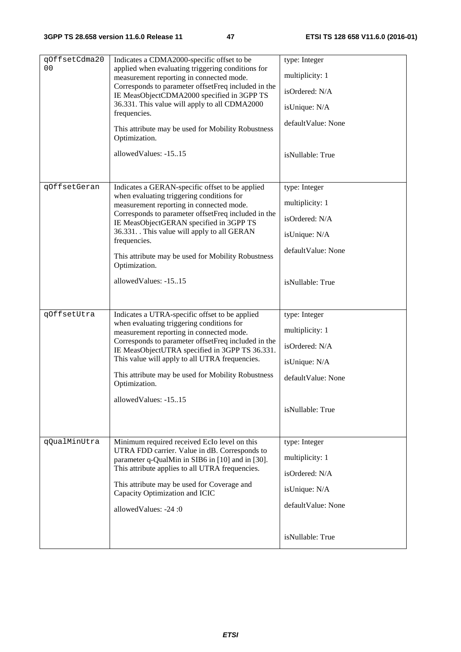| qOffsetCdma20<br>0 <sub>0</sub> | Indicates a CDMA2000-specific offset to be<br>applied when evaluating triggering conditions for<br>measurement reporting in connected mode.<br>Corresponds to parameter offsetFreq included in the<br>IE MeasObjectCDMA2000 specified in 3GPP TS<br>36.331. This value will apply to all CDMA2000<br>frequencies.<br>This attribute may be used for Mobility Robustness<br>Optimization.<br>allowedValues: -1515 | type: Integer<br>multiplicity: 1<br>isOrdered: N/A<br>isUnique: N/A<br>defaultValue: None<br>isNullable: True |
|---------------------------------|------------------------------------------------------------------------------------------------------------------------------------------------------------------------------------------------------------------------------------------------------------------------------------------------------------------------------------------------------------------------------------------------------------------|---------------------------------------------------------------------------------------------------------------|
| qOffsetGeran                    | Indicates a GERAN-specific offset to be applied<br>when evaluating triggering conditions for<br>measurement reporting in connected mode.<br>Corresponds to parameter offsetFreq included in the<br>IE MeasObjectGERAN specified in 3GPP TS<br>36.331. This value will apply to all GERAN<br>frequencies.<br>This attribute may be used for Mobility Robustness<br>Optimization.<br>allowed Values: -1515         | type: Integer<br>multiplicity: 1<br>isOrdered: N/A<br>isUnique: N/A<br>defaultValue: None<br>isNullable: True |
| qOffsetUtra                     | Indicates a UTRA-specific offset to be applied<br>when evaluating triggering conditions for<br>measurement reporting in connected mode.<br>Corresponds to parameter offsetFreq included in the<br>IE MeasObjectUTRA specified in 3GPP TS 36.331.<br>This value will apply to all UTRA frequencies.<br>This attribute may be used for Mobility Robustness<br>Optimization.<br>allowedValues: -1515                | type: Integer<br>multiplicity: 1<br>isOrdered: N/A<br>isUnique: N/A<br>defaultValue: None<br>isNullable: True |
| qQualMinUtra                    | Minimum required received EcIo level on this<br>UTRA FDD carrier. Value in dB. Corresponds to<br>parameter q-QualMin in SIB6 in [10] and in [30].<br>This attribute applies to all UTRA frequencies.<br>This attribute may be used for Coverage and<br>Capacity Optimization and ICIC<br>allowedValues: -24:0                                                                                                    | type: Integer<br>multiplicity: 1<br>isOrdered: N/A<br>isUnique: N/A<br>defaultValue: None<br>isNullable: True |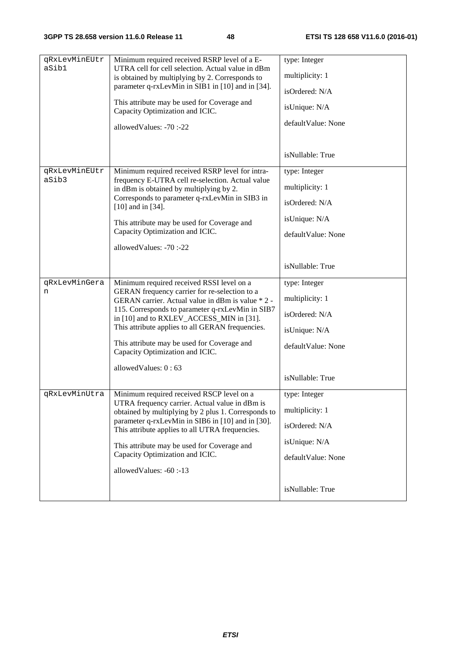| qRxLevMinEUtr<br>aSib1 | Minimum required received RSRP level of a E-<br>UTRA cell for cell selection. Actual value in dBm     | type: Integer      |
|------------------------|-------------------------------------------------------------------------------------------------------|--------------------|
|                        | is obtained by multiplying by 2. Corresponds to                                                       | multiplicity: 1    |
|                        | parameter q-rxLevMin in SIB1 in [10] and in [34].                                                     | isOrdered: N/A     |
|                        | This attribute may be used for Coverage and<br>Capacity Optimization and ICIC.                        | isUnique: N/A      |
|                        | allowedValues: -70:-22                                                                                | defaultValue: None |
|                        |                                                                                                       |                    |
|                        |                                                                                                       | isNullable: True   |
| qRxLevMinEUtr          | Minimum required received RSRP level for intra-                                                       | type: Integer      |
| aSib3                  | frequency E-UTRA cell re-selection. Actual value<br>in dBm is obtained by multiplying by 2.           | multiplicity: 1    |
|                        | Corresponds to parameter q-rxLevMin in SIB3 in<br>$[10]$ and in $[34]$ .                              | isOrdered: N/A     |
|                        | This attribute may be used for Coverage and                                                           | isUnique: N/A      |
|                        | Capacity Optimization and ICIC.                                                                       | defaultValue: None |
|                        | allowedValues: -70:-22                                                                                |                    |
|                        |                                                                                                       | isNullable: True   |
| qRxLevMinGera          | Minimum required received RSSI level on a                                                             | type: Integer      |
| n                      | GERAN frequency carrier for re-selection to a<br>GERAN carrier. Actual value in dBm is value * 2 -    | multiplicity: 1    |
|                        | 115. Corresponds to parameter q-rxLevMin in SIB7<br>in [10] and to RXLEV_ACCESS_MIN in [31].          | isOrdered: N/A     |
|                        | This attribute applies to all GERAN frequencies.                                                      | isUnique: N/A      |
|                        | This attribute may be used for Coverage and<br>Capacity Optimization and ICIC.                        | defaultValue: None |
|                        |                                                                                                       |                    |
|                        | allowedValues: 0:63                                                                                   | isNullable: True   |
| qRxLevMinUtra          | Minimum required received RSCP level on a                                                             | type: Integer      |
|                        | UTRA frequency carrier. Actual value in dBm is<br>obtained by multiplying by 2 plus 1. Corresponds to | multiplicity: 1    |
|                        | parameter q-rxLevMin in SIB6 in [10] and in [30].                                                     | isOrdered: N/A     |
|                        | This attribute applies to all UTRA frequencies.                                                       |                    |
|                        | This attribute may be used for Coverage and<br>Capacity Optimization and ICIC.                        | isUnique: N/A      |
|                        | allowedValues: -60:-13                                                                                | defaultValue: None |
|                        |                                                                                                       |                    |
|                        |                                                                                                       | isNullable: True   |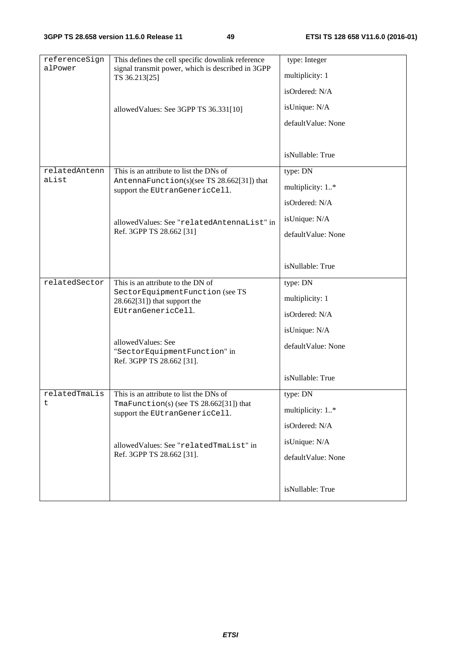| referenceSign<br>alPower | This defines the cell specific downlink reference<br>signal transmit power, which is described in 3GPP | type: Integer      |
|--------------------------|--------------------------------------------------------------------------------------------------------|--------------------|
|                          | TS 36.213[25]                                                                                          | multiplicity: 1    |
|                          |                                                                                                        | isOrdered: N/A     |
|                          | allowed Values: See 3GPP TS 36.331[10]                                                                 | isUnique: N/A      |
|                          |                                                                                                        | defaultValue: None |
|                          |                                                                                                        |                    |
|                          |                                                                                                        | isNullable: True   |
| relatedAntenn<br>aList   | This is an attribute to list the DNs of                                                                | type: DN           |
|                          | AntennaFunction(s)(see TS 28.662[31]) that<br>support the EUtranGenericCell.                           | multiplicity: 1*   |
|                          |                                                                                                        | isOrdered: N/A     |
|                          | allowedValues: See "relatedAntennaList" in                                                             | isUnique: N/A      |
|                          | Ref. 3GPP TS 28.662 [31]                                                                               | defaultValue: None |
|                          |                                                                                                        |                    |
|                          |                                                                                                        | isNullable: True   |
| relatedSector            | This is an attribute to the DN of                                                                      | type: DN           |
|                          | SectorEquipmentFunction (see TS<br>$28.662[31]$ ) that support the                                     | multiplicity: 1    |
|                          | EUtranGenericCell.                                                                                     | isOrdered: N/A     |
|                          |                                                                                                        | isUnique: N/A      |
|                          | allowed Values: See<br>"SectorEquipmentFunction" in                                                    | defaultValue: None |
|                          | Ref. 3GPP TS 28.662 [31].                                                                              |                    |
|                          |                                                                                                        | isNullable: True   |
| relatedTmaLis            | This is an attribute to list the DNs of                                                                | type: DN           |
| t                        | TmaFunction(s) (see TS $28.662[31]$ ) that<br>support the EUtranGenericCell.                           | multiplicity: 1*   |
|                          |                                                                                                        | isOrdered: N/A     |
|                          | allowedValues: See "relatedTmaList" in                                                                 | isUnique: N/A      |
|                          | Ref. 3GPP TS 28.662 [31].                                                                              | defaultValue: None |
|                          |                                                                                                        |                    |
|                          |                                                                                                        | isNullable: True   |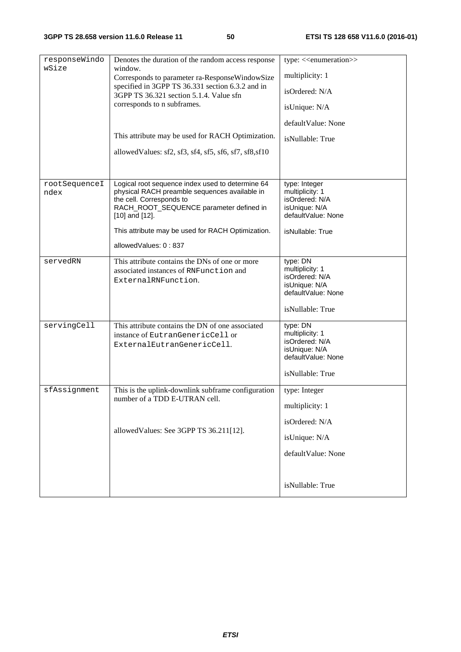| responseWindo         | Denotes the duration of the random access response                                                | type: < <enumeration>&gt;</enumeration> |
|-----------------------|---------------------------------------------------------------------------------------------------|-----------------------------------------|
| wSize                 | window.<br>Corresponds to parameter ra-ResponseWindowSize                                         | multiplicity: 1                         |
|                       | specified in 3GPP TS 36.331 section 6.3.2 and in<br>3GPP TS 36.321 section 5.1.4. Value sfn       | isOrdered: N/A                          |
|                       | corresponds to n subframes.                                                                       | isUnique: N/A                           |
|                       |                                                                                                   | defaultValue: None                      |
|                       | This attribute may be used for RACH Optimization.                                                 | isNullable: True                        |
|                       | allowed Values: sf2, sf3, sf4, sf5, sf6, sf7, sf8, sf10                                           |                                         |
|                       |                                                                                                   |                                         |
| rootSequenceI<br>ndex | Logical root sequence index used to determine 64<br>physical RACH preamble sequences available in | type: Integer<br>multiplicity: 1        |
|                       | the cell. Corresponds to                                                                          | isOrdered: N/A                          |
|                       | RACH_ROOT_SEQUENCE parameter defined in                                                           | isUnique: N/A                           |
|                       | $[10]$ and $[12]$ .                                                                               | defaultValue: None                      |
|                       | This attribute may be used for RACH Optimization.                                                 | isNullable: True                        |
|                       | allowedValues: 0:837                                                                              |                                         |
| servedRN              | This attribute contains the DNs of one or more                                                    | type: DN                                |
|                       | associated instances of RNFunction and                                                            | multiplicity: 1<br>isOrdered: N/A       |
|                       | ExternalRNFunction.                                                                               | isUnique: N/A                           |
|                       |                                                                                                   | defaultValue: None                      |
|                       |                                                                                                   | isNullable: True                        |
| servingCell           | This attribute contains the DN of one associated                                                  | type: DN                                |
|                       | instance of EutranGenericCell or                                                                  | multiplicity: 1<br>isOrdered: N/A       |
|                       | ExternalEutranGenericCell.                                                                        | isUnique: N/A                           |
|                       |                                                                                                   | defaultValue: None                      |
|                       |                                                                                                   | isNullable: True                        |
| sfAssignment          | This is the uplink-downlink subframe configuration                                                | type: Integer                           |
|                       | number of a TDD E-UTRAN cell.                                                                     | multiplicity: 1                         |
|                       |                                                                                                   | isOrdered: N/A                          |
|                       | allowedValues: See 3GPP TS 36.211[12].                                                            | isUnique: N/A                           |
|                       |                                                                                                   | defaultValue: None                      |
|                       |                                                                                                   |                                         |
|                       |                                                                                                   | isNullable: True                        |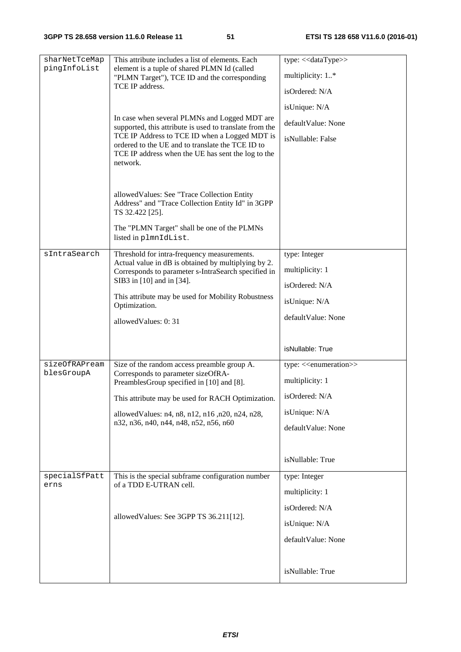| sharNetTceMap | This attribute includes a list of elements. Each                                                                    | type: << dataType>>                     |
|---------------|---------------------------------------------------------------------------------------------------------------------|-----------------------------------------|
| pingInfoList  | element is a tuple of shared PLMN Id (called<br>"PLMN Target"), TCE ID and the corresponding                        | multiplicity: 1*                        |
|               | TCE IP address.                                                                                                     | isOrdered: N/A                          |
|               |                                                                                                                     | isUnique: N/A                           |
|               | In case when several PLMNs and Logged MDT are<br>supported, this attribute is used to translate from the            | defaultValue: None                      |
|               | TCE IP Address to TCE ID when a Logged MDT is                                                                       | isNullable: False                       |
|               | ordered to the UE and to translate the TCE ID to<br>TCE IP address when the UE has sent the log to the              |                                         |
|               | network.                                                                                                            |                                         |
|               |                                                                                                                     |                                         |
|               | allowedValues: See "Trace Collection Entity<br>Address" and "Trace Collection Entity Id" in 3GPP<br>TS 32.422 [25]. |                                         |
|               | The "PLMN Target" shall be one of the PLMNs                                                                         |                                         |
|               | listed in plmnIdList.                                                                                               |                                         |
| sIntraSearch  | Threshold for intra-frequency measurements.<br>Actual value in dB is obtained by multiplying by 2.                  | type: Integer                           |
|               | Corresponds to parameter s-IntraSearch specified in                                                                 | multiplicity: 1                         |
|               | SIB3 in [10] and in [34].                                                                                           | isOrdered: N/A                          |
|               | This attribute may be used for Mobility Robustness<br>Optimization.                                                 | isUnique: N/A                           |
|               | allowedValues: 0:31                                                                                                 | defaultValue: None                      |
|               |                                                                                                                     |                                         |
|               |                                                                                                                     | isNullable: True                        |
| sizeOfRAPream | Size of the random access preamble group A.                                                                         | type: < <enumeration>&gt;</enumeration> |
| blesGroupA    | Corresponds to parameter sizeOfRA-<br>PreamblesGroup specified in [10] and [8].                                     | multiplicity: 1                         |
|               | This attribute may be used for RACH Optimization.                                                                   | isOrdered: N/A                          |
|               | allowed Values: n4, n8, n12, n16, n20, n24, n28,                                                                    | isUnique: N/A                           |
|               | n32, n36, n40, n44, n48, n52, n56, n60                                                                              | defaultValue: None                      |
|               |                                                                                                                     |                                         |
|               |                                                                                                                     | isNullable: True                        |
| specialSfPatt | This is the special subframe configuration number                                                                   | type: Integer                           |
| erns          | of a TDD E-UTRAN cell.                                                                                              | multiplicity: 1                         |
|               |                                                                                                                     | isOrdered: N/A                          |
|               | allowedValues: See 3GPP TS 36.211[12].                                                                              | isUnique: N/A                           |
|               |                                                                                                                     | defaultValue: None                      |
|               |                                                                                                                     |                                         |
|               |                                                                                                                     | isNullable: True                        |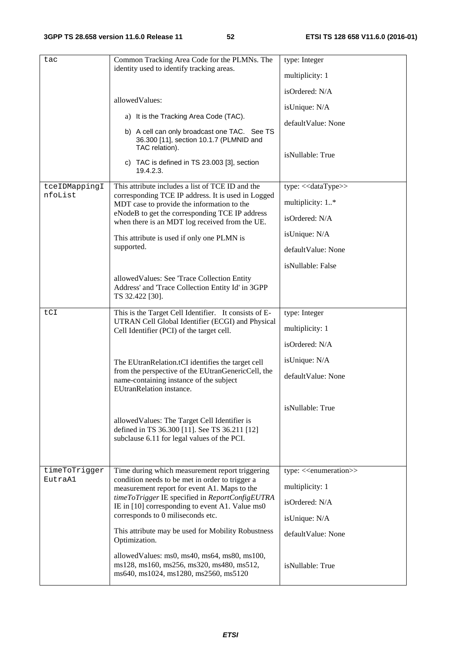| tac                      | Common Tracking Area Code for the PLMNs. The<br>identity used to identify tracking areas.<br>allowedValues:<br>a) It is the Tracking Area Code (TAC).<br>b) A cell can only broadcast one TAC. See TS<br>36.300 [11], section 10.1.7 (PLMNID and<br>TAC relation).<br>c) TAC is defined in TS 23.003 [3], section<br>19.4.2.3.                                                                                                                                                                              | type: Integer<br>multiplicity: 1<br>isOrdered: N/A<br>isUnique: N/A<br>defaultValue: None<br>isNullable: True                                |
|--------------------------|-------------------------------------------------------------------------------------------------------------------------------------------------------------------------------------------------------------------------------------------------------------------------------------------------------------------------------------------------------------------------------------------------------------------------------------------------------------------------------------------------------------|----------------------------------------------------------------------------------------------------------------------------------------------|
| tceIDMappingI<br>nfoList | This attribute includes a list of TCE ID and the<br>corresponding TCE IP address. It is used in Logged<br>MDT case to provide the information to the<br>eNodeB to get the corresponding TCE IP address<br>when there is an MDT log received from the UE.<br>This attribute is used if only one PLMN is<br>supported.<br>allowed Values: See 'Trace Collection Entity                                                                                                                                        | type: << dataType>><br>multiplicity: 1*<br>isOrdered: N/A<br>isUnique: N/A<br>defaultValue: None<br>isNullable: False                        |
| tCI                      | Address' and 'Trace Collection Entity Id' in 3GPP<br>TS 32.422 [30].<br>This is the Target Cell Identifier. It consists of E-<br>UTRAN Cell Global Identifier (ECGI) and Physical<br>Cell Identifier (PCI) of the target cell.<br>The EUtranRelation.tCI identifies the target cell<br>from the perspective of the EUtranGenericCell, the<br>name-containing instance of the subject                                                                                                                        | type: Integer<br>multiplicity: 1<br>isOrdered: N/A<br>isUnique: N/A<br>defaultValue: None                                                    |
|                          | EUtranRelation instance.<br>allowed Values: The Target Cell Identifier is<br>defined in TS 36.300 [11]. See TS 36.211 [12]<br>subclause 6.11 for legal values of the PCI.                                                                                                                                                                                                                                                                                                                                   | isNullable: True                                                                                                                             |
| timeToTrigger<br>EutraA1 | Time during which measurement report triggering<br>condition needs to be met in order to trigger a<br>measurement report for event A1. Maps to the<br>timeToTrigger IE specified in ReportConfigEUTRA<br>IE in [10] corresponding to event A1. Value ms0<br>corresponds to 0 miliseconds etc.<br>This attribute may be used for Mobility Robustness<br>Optimization.<br>allowed Values: ms0, ms40, ms64, ms80, ms100,<br>ms128, ms160, ms256, ms320, ms480, ms512,<br>ms640, ms1024, ms1280, ms2560, ms5120 | type: < <enumeration>&gt;<br/>multiplicity: 1<br/>isOrdered: N/A<br/>isUnique: N/A<br/>defaultValue: None<br/>isNullable: True</enumeration> |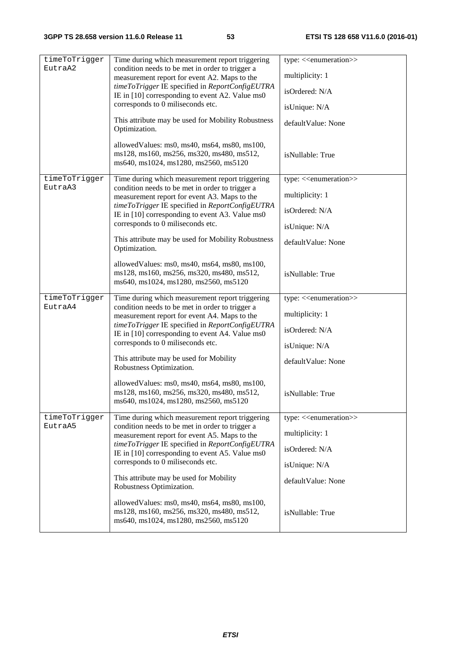| timeToTrigger | Time during which measurement report triggering                                                                                                    | type: < <enumeration>&gt;</enumeration> |
|---------------|----------------------------------------------------------------------------------------------------------------------------------------------------|-----------------------------------------|
| EutraA2       | condition needs to be met in order to trigger a                                                                                                    |                                         |
|               | measurement report for event A2. Maps to the<br>timeToTrigger IE specified in ReportConfigEUTRA<br>IE in [10] corresponding to event A2. Value ms0 | multiplicity: 1                         |
|               |                                                                                                                                                    | isOrdered: N/A                          |
|               | corresponds to 0 miliseconds etc.                                                                                                                  | isUnique: N/A                           |
|               | This attribute may be used for Mobility Robustness<br>Optimization.                                                                                | defaultValue: None                      |
|               | allowedValues: ms0, ms40, ms64, ms80, ms100,<br>ms128, ms160, ms256, ms320, ms480, ms512,<br>ms640, ms1024, ms1280, ms2560, ms5120                 | isNullable: True                        |
| timeToTrigger | Time during which measurement report triggering                                                                                                    | type: < <enumeration>&gt;</enumeration> |
| EutraA3       | condition needs to be met in order to trigger a<br>measurement report for event A3. Maps to the                                                    | multiplicity: 1                         |
|               | timeToTrigger IE specified in ReportConfigEUTRA<br>IE in [10] corresponding to event A3. Value ms0                                                 | isOrdered: N/A                          |
|               | corresponds to 0 miliseconds etc.                                                                                                                  | isUnique: N/A                           |
|               | This attribute may be used for Mobility Robustness<br>Optimization.                                                                                | defaultValue: None                      |
|               | allowedValues: ms0, ms40, ms64, ms80, ms100,<br>ms128, ms160, ms256, ms320, ms480, ms512,<br>ms640, ms1024, ms1280, ms2560, ms5120                 | isNullable: True                        |
| timeToTrigger | Time during which measurement report triggering                                                                                                    | type: < <enumeration>&gt;</enumeration> |
| EutraA4       | condition needs to be met in order to trigger a<br>measurement report for event A4. Maps to the                                                    | multiplicity: 1                         |
|               | timeToTrigger IE specified in ReportConfigEUTRA<br>IE in [10] corresponding to event A4. Value ms0                                                 | isOrdered: N/A                          |
|               | corresponds to 0 miliseconds etc.                                                                                                                  | isUnique: N/A                           |
|               | This attribute may be used for Mobility<br>Robustness Optimization.                                                                                | defaultValue: None                      |
|               | allowedValues: ms0, ms40, ms64, ms80, ms100,<br>ms128, ms160, ms256, ms320, ms480, ms512,<br>ms640, ms1024, ms1280, ms2560, ms5120                 | isNullable: True                        |
| timeToTrigger | Time during which measurement report triggering                                                                                                    | type: < <enumeration>&gt;</enumeration> |
| EutraA5       | condition needs to be met in order to trigger a<br>measurement report for event A5. Maps to the                                                    | multiplicity: 1                         |
|               | timeToTrigger IE specified in ReportConfigEUTRA<br>IE in [10] corresponding to event A5. Value ms0<br>corresponds to 0 miliseconds etc.            | isOrdered: N/A                          |
|               |                                                                                                                                                    | isUnique: N/A                           |
|               | This attribute may be used for Mobility<br>Robustness Optimization.                                                                                | defaultValue: None                      |
|               | allowedValues: ms0, ms40, ms64, ms80, ms100,<br>ms128, ms160, ms256, ms320, ms480, ms512,<br>ms640, ms1024, ms1280, ms2560, ms5120                 | isNullable: True                        |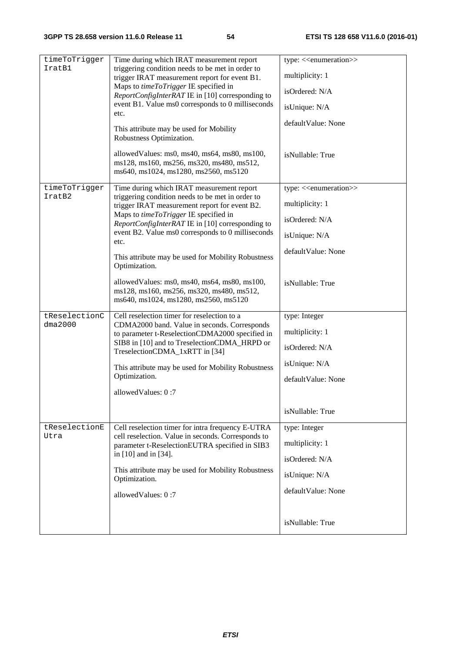| timeToTrigger<br>IratB1  | Time during which IRAT measurement report<br>triggering condition needs to be met in order to<br>trigger IRAT measurement report for event B1.<br>Maps to timeToTrigger IE specified in<br>ReportConfigInterRAT IE in [10] corresponding to<br>event B1. Value ms0 corresponds to 0 milliseconds<br>etc.<br>This attribute may be used for Mobility                                                                             | type: < <enumeration>&gt;<br/>multiplicity: 1<br/>isOrdered: N/A<br/>isUnique: N/A<br/>defaultValue: None</enumeration>                      |
|--------------------------|---------------------------------------------------------------------------------------------------------------------------------------------------------------------------------------------------------------------------------------------------------------------------------------------------------------------------------------------------------------------------------------------------------------------------------|----------------------------------------------------------------------------------------------------------------------------------------------|
|                          | Robustness Optimization.<br>allowedValues: ms0, ms40, ms64, ms80, ms100,<br>ms128, ms160, ms256, ms320, ms480, ms512,<br>ms640, ms1024, ms1280, ms2560, ms5120                                                                                                                                                                                                                                                                  | isNullable: True                                                                                                                             |
| timeToTrigger<br>IratB2  | Time during which IRAT measurement report<br>triggering condition needs to be met in order to<br>trigger IRAT measurement report for event B2.<br>Maps to timeToTrigger IE specified in<br>ReportConfigInterRAT IE in [10] corresponding to<br>event B2. Value ms0 corresponds to 0 milliseconds<br>etc.<br>This attribute may be used for Mobility Robustness<br>Optimization.<br>allowedValues: ms0, ms40, ms64, ms80, ms100, | type: < <enumeration>&gt;<br/>multiplicity: 1<br/>isOrdered: N/A<br/>isUnique: N/A<br/>defaultValue: None<br/>isNullable: True</enumeration> |
| tReselectionC<br>dma2000 | ms128, ms160, ms256, ms320, ms480, ms512,<br>ms640, ms1024, ms1280, ms2560, ms5120<br>Cell reselection timer for reselection to a<br>CDMA2000 band. Value in seconds. Corresponds<br>to parameter t-ReselectionCDMA2000 specified in<br>SIB8 in [10] and to TreselectionCDMA_HRPD or<br>TreselectionCDMA_1xRTT in [34]<br>This attribute may be used for Mobility Robustness<br>Optimization.<br>allowedValues: 0:7             | type: Integer<br>multiplicity: 1<br>isOrdered: N/A<br>isUnique: N/A<br>defaultValue: None<br>isNullable: True                                |
| tReselectionE<br>Utra    | Cell reselection timer for intra frequency E-UTRA<br>cell reselection. Value in seconds. Corresponds to<br>parameter t-ReselectionEUTRA specified in SIB3<br>in [10] and in [34].<br>This attribute may be used for Mobility Robustness<br>Optimization.<br>allowedValues: 0:7                                                                                                                                                  | type: Integer<br>multiplicity: 1<br>isOrdered: N/A<br>isUnique: N/A<br>defaultValue: None<br>isNullable: True                                |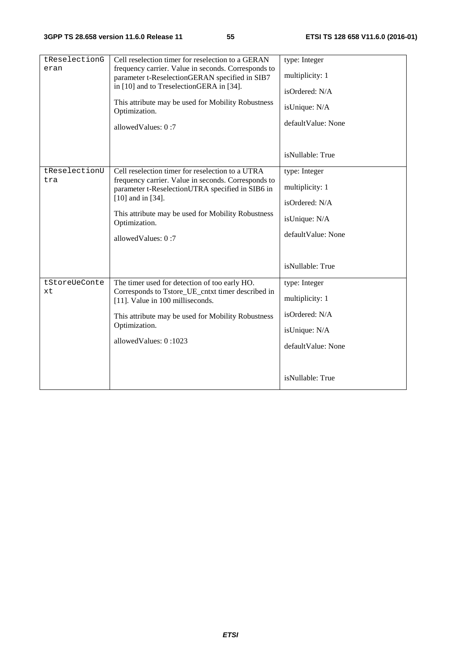| tReselectionG<br>eran | Cell reselection timer for reselection to a GERAN<br>frequency carrier. Value in seconds. Corresponds to<br>parameter t-ReselectionGERAN specified in SIB7<br>in [10] and to TreselectionGERA in [34].<br>This attribute may be used for Mobility Robustness<br>Optimization.<br>allowedValues: 0:7 | type: Integer<br>multiplicity: 1<br>isOrdered: N/A<br>isUnique: N/A<br>defaultValue: None                     |
|-----------------------|-----------------------------------------------------------------------------------------------------------------------------------------------------------------------------------------------------------------------------------------------------------------------------------------------------|---------------------------------------------------------------------------------------------------------------|
|                       |                                                                                                                                                                                                                                                                                                     | isNullable: True                                                                                              |
| tReselectionU<br>tra  | Cell reselection timer for reselection to a UTRA<br>frequency carrier. Value in seconds. Corresponds to<br>parameter t-ReselectionUTRA specified in SIB6 in<br>$[10]$ and in $[34]$ .<br>This attribute may be used for Mobility Robustness<br>Optimization.<br>allowedValues: 0:7                  | type: Integer<br>multiplicity: 1<br>isOrdered: N/A<br>isUnique: N/A<br>defaultValue: None<br>isNullable: True |
| tStoreUeConte<br>xt   | The timer used for detection of too early HO.<br>Corresponds to Tstore_UE_cntxt timer described in<br>[11]. Value in 100 milliseconds.<br>This attribute may be used for Mobility Robustness<br>Optimization.<br>allowedValues: 0:1023                                                              | type: Integer<br>multiplicity: 1<br>isOrdered: N/A<br>isUnique: N/A<br>defaultValue: None<br>isNullable: True |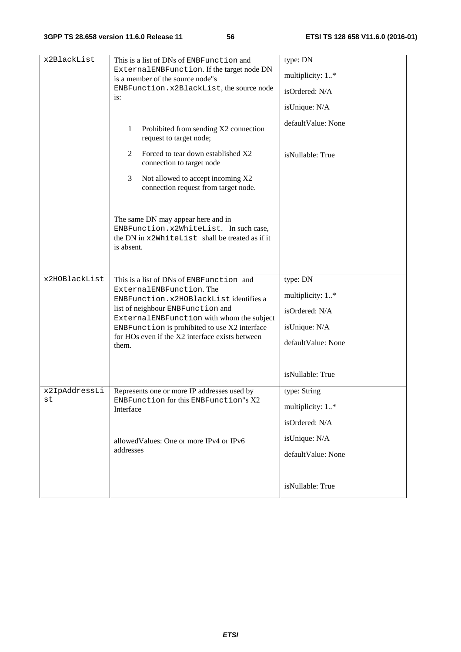| x2BlackList         | This is a list of DNs of ENBFunction and<br>ExternalENBFunction. If the target node DN<br>is a member of the source node"s<br>ENBFunction.x2BlackList, the source node<br>is:<br>$\mathbf{1}$<br>Prohibited from sending X2 connection<br>request to target node;<br>Forced to tear down established X2<br>2 | type: DN<br>multiplicity: 1*<br>isOrdered: N/A<br>isUnique: N/A<br>defaultValue: None<br>isNullable: True |
|---------------------|--------------------------------------------------------------------------------------------------------------------------------------------------------------------------------------------------------------------------------------------------------------------------------------------------------------|-----------------------------------------------------------------------------------------------------------|
|                     | connection to target node<br>Not allowed to accept incoming X2<br>3<br>connection request from target node.                                                                                                                                                                                                  |                                                                                                           |
|                     | The same DN may appear here and in<br>ENBFunction.x2WhiteList. In such case,<br>the DN in x2WhiteList shall be treated as if it<br>is absent.                                                                                                                                                                |                                                                                                           |
| x2HOBlackList       | This is a list of DNs of ENBFunction and<br>ExternalENBFunction. The<br>ENBFunction.x2HOBlackListidentifies a<br>list of neighbour ENBFunction and<br>ExternalENBFunction with whom the subject<br>ENBFunction is prohibited to use X2 interface<br>for HOs even if the X2 interface exists between<br>them. | type: DN<br>multiplicity: 1*<br>isOrdered: N/A<br>isUnique: N/A<br>defaultValue: None<br>isNullable: True |
| x2IpAddressLi<br>SU | Represents one or more IP addresses used by<br>ENBFunction for this ENBFunction"s X2<br>Interface                                                                                                                                                                                                            | type: String<br>multiplicity: 1*<br>isOrdered: N/A                                                        |
|                     | allowed Values: One or more IPv4 or IPv6<br>addresses                                                                                                                                                                                                                                                        | isUnique: N/A<br>defaultValue: None                                                                       |
|                     |                                                                                                                                                                                                                                                                                                              | isNullable: True                                                                                          |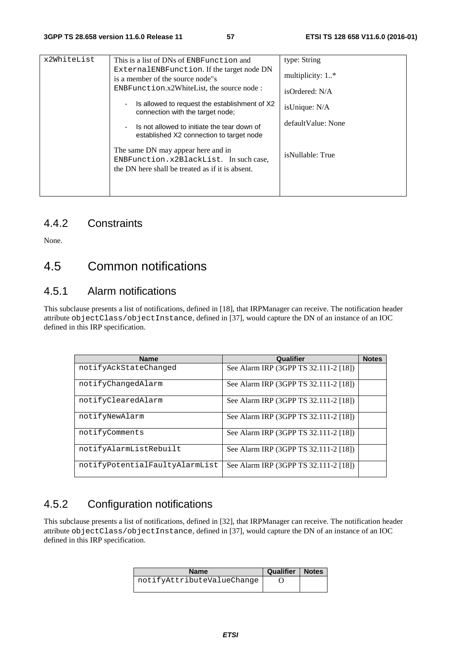| x2WhiteList | This is a list of DNs of ENBFunction and<br>External ENBFunction. If the target node DN<br>is a member of the source node"s<br>$ENBFunction.x2WhiteList, the source node:$<br>Is allowed to request the establishment of X2<br>$\overline{\phantom{a}}$<br>connection with the target node;<br>Is not allowed to initiate the tear down of<br>$\overline{\phantom{0}}$<br>established X2 connection to target node | type: String<br>multiplicity: $1.*$<br>isOrdered: N/A<br>isUnique: N/A<br>default Value: None |
|-------------|--------------------------------------------------------------------------------------------------------------------------------------------------------------------------------------------------------------------------------------------------------------------------------------------------------------------------------------------------------------------------------------------------------------------|-----------------------------------------------------------------------------------------------|
|             | The same DN may appear here and in<br>ENBFunction.x2BlackList. In such case,<br>the DN here shall be treated as if it is absent.                                                                                                                                                                                                                                                                                   | isNullable: True                                                                              |

#### 4.4.2 Constraints

None.

### 4.5 Common notifications

#### 4.5.1 Alarm notifications

This subclause presents a list of notifications, defined in [18], that IRPManager can receive. The notification header attribute objectClass/objectInstance, defined in [37], would capture the DN of an instance of an IOC defined in this IRP specification.

| <b>Name</b>                    | Qualifier                             | <b>Notes</b> |
|--------------------------------|---------------------------------------|--------------|
| notifyAckStateChanged          | See Alarm IRP (3GPP TS 32.111-2 [18]) |              |
| notifyChangedAlarm             | See Alarm IRP (3GPP TS 32.111-2 [18]) |              |
| notifyClearedAlarm             | See Alarm IRP (3GPP TS 32.111-2 [18]) |              |
| notifyNewAlarm                 | See Alarm IRP (3GPP TS 32.111-2 [18]) |              |
| notifyComments                 | See Alarm IRP (3GPP TS 32.111-2 [18]) |              |
| notifyAlarmListRebuilt         | See Alarm IRP (3GPP TS 32.111-2 [18]) |              |
| notifyPotentialFaultyAlarmList | See Alarm IRP (3GPP TS 32.111-2 [18]) |              |

### 4.5.2 Configuration notifications

This subclause presents a list of notifications, defined in [32], that IRPManager can receive. The notification header attribute objectClass/objectInstance, defined in [37], would capture the DN of an instance of an IOC defined in this IRP specification.

| <b>Name</b>                | <b>Qualifier   Notes</b> |  |
|----------------------------|--------------------------|--|
| notifyAttributeValueChange |                          |  |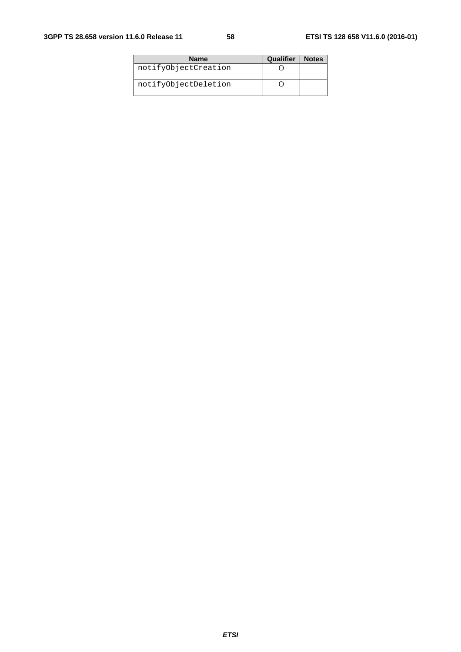| <b>Name</b>          | Qualifier | <b>Notes</b> |
|----------------------|-----------|--------------|
| notifyObjectCreation |           |              |
| notifyObjectDeletion |           |              |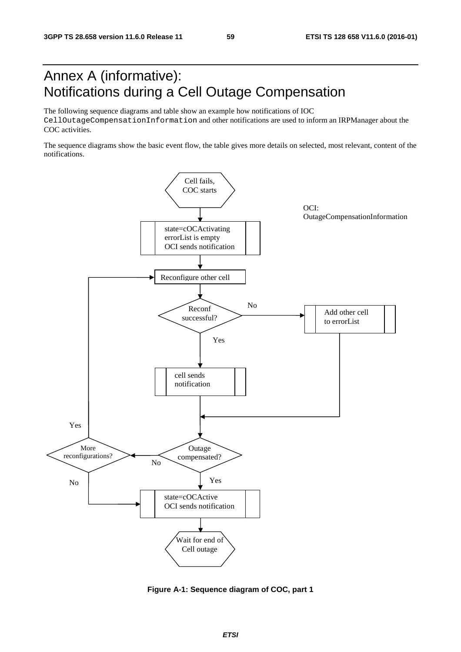### Annex A (informative): Notifications during a Cell Outage Compensation

The following sequence diagrams and table show an example how notifications of IOC CellOutageCompensationInformation and other notifications are used to inform an IRPManager about the COC activities.

The sequence diagrams show the basic event flow, the table gives more details on selected, most relevant, content of the notifications.



**Figure A-1: Sequence diagram of COC, part 1**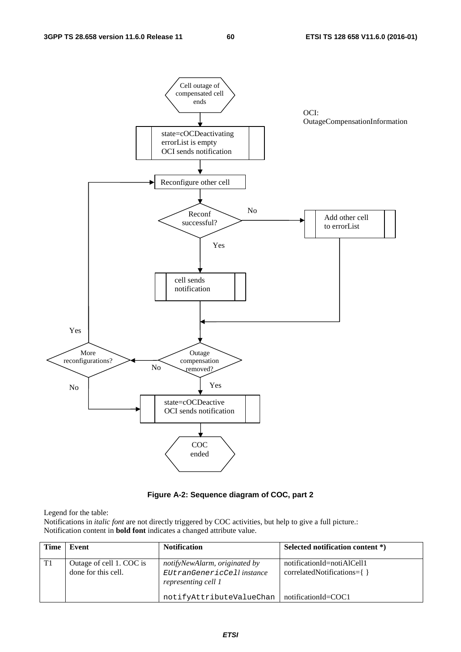

#### **Figure A-2: Sequence diagram of COC, part 2**

Legend for the table:

Notifications in *italic font* are not directly triggered by COC activities, but help to give a full picture.: Notification content in **bold font** indicates a changed attribute value.

| <b>Time</b> | Event                                           | <b>Notification</b>                                                                | Selected notification content *)                               |
|-------------|-------------------------------------------------|------------------------------------------------------------------------------------|----------------------------------------------------------------|
| T1          | Outage of cell 1. COC is<br>done for this cell. | notifyNewAlarm, originated by<br>EUtranGenericCell instance<br>representing cell 1 | notificationId=notiAlCell1<br>$correlatedNotifications = \{\}$ |
|             |                                                 | notifyAttributeValueChan                                                           | notificationId=COC1                                            |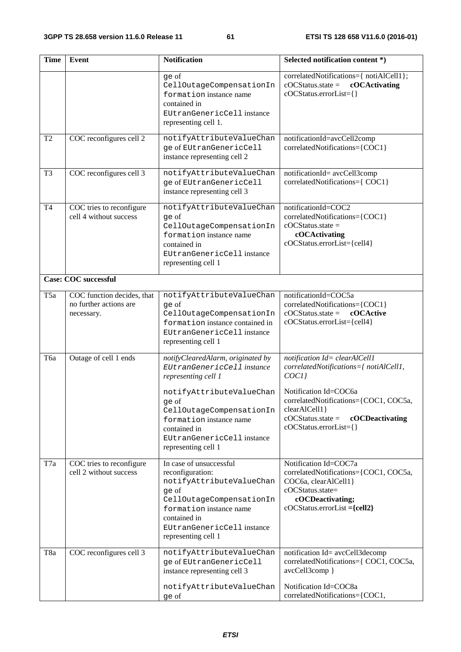| <b>Time</b>     | Event                                                              | <b>Notification</b>                                                                                                                                                                                                                                     | Selected notification content *)                                                                                                                                                                                                       |
|-----------------|--------------------------------------------------------------------|---------------------------------------------------------------------------------------------------------------------------------------------------------------------------------------------------------------------------------------------------------|----------------------------------------------------------------------------------------------------------------------------------------------------------------------------------------------------------------------------------------|
|                 |                                                                    | qe of<br>CellOutageCompensationIn<br>formation instance name<br>contained in<br>EUtranGenericCell instance<br>representing cell 1.                                                                                                                      | correlatedNotifications={ notiAlCell1};<br>$\text{cOC}$ Status.state =<br>cOCActivating<br>cOCStatus.errorList={}                                                                                                                      |
| T <sub>2</sub>  | COC reconfigures cell 2                                            | notifyAttributeValueChan<br>ge of EUtranGenericCell<br>instance representing cell 2                                                                                                                                                                     | notificationId=avcCell2comp<br>correlatedNotifications={COC1}                                                                                                                                                                          |
| T <sub>3</sub>  | COC reconfigures cell 3                                            | notifyAttributeValueChan<br>ge of EUtranGenericCell<br>instance representing cell 3                                                                                                                                                                     | notificationId= avcCell3comp<br>correlatedNotifications={ COC1}                                                                                                                                                                        |
| <b>T4</b>       | COC tries to reconfigure<br>cell 4 without success                 | notifyAttributeValueChan<br>ge of<br>CellOutageCompensationIn<br>formation instance name<br>contained in<br>EUtranGenericCell instance<br>representing cell 1                                                                                           | notificationId=COC2<br>correlatedNotifications={COC1}<br>$cOCStatus.state =$<br>cOCActivating<br>cOCStatus.errorList={cell4}                                                                                                           |
|                 | <b>Case: COC successful</b>                                        |                                                                                                                                                                                                                                                         |                                                                                                                                                                                                                                        |
| T <sub>5a</sub> | COC function decides, that<br>no further actions are<br>necessary. | notifyAttributeValueChan<br>ge of<br>CellOutageCompensationIn<br>formation instance contained in<br>EUtranGenericCell instance<br>representing cell 1                                                                                                   | notificationId=COC5a<br>correlatedNotifications={COC1}<br>$cOCStatus.state =$<br>cOCActive<br>cOCStatus.errorList={cell4}                                                                                                              |
| Тба             | Outage of cell 1 ends                                              | notifyClearedAlarm, originated by<br>EUtranGenericCell instance<br>representing cell 1<br>notifyAttributeValueChan<br>ge of<br>CellOutageCompensationIn<br>formation instance name<br>contained in<br>EUtranGenericCell instance<br>representing cell 1 | notification Id= clearAlCell1<br>correlatedNotifications={ notiAlCell1,<br>COCI<br>Notification Id=COC6a<br>correlatedNotifications={COC1, COC5a,<br>clearAlCell1}<br>$cOCStatus.state =$<br>cOCDeactivating<br>cOCStatus.errorList={} |
| T7a             | COC tries to reconfigure<br>cell 2 without success                 | In case of unsuccessful<br>reconfiguration:<br>notifyAttributeValueChan<br>ge of<br>CellOutageCompensationIn<br>formation instance name<br>contained in<br>EUtranGenericCell instance<br>representing cell 1                                            | Notification Id=COC7a<br>correlatedNotifications={COC1, COC5a,<br>COC6a, clearAlCell1}<br>cOCStatus.state=<br>cOCDeactivating;<br>$cOCStatus. errorList = {cell2}$                                                                     |
| T8a             | COC reconfigures cell 3                                            | notifyAttributeValueChan<br>ge of EUtranGenericCell<br>instance representing cell 3<br>notifyAttributeValueChan                                                                                                                                         | notification Id= avcCell3decomp<br>correlatedNotifications={ COC1, COC5a,<br>avcCell3comp }<br>Notification Id=COC8a                                                                                                                   |
|                 |                                                                    | ge of                                                                                                                                                                                                                                                   | correlatedNotifications={COC1,                                                                                                                                                                                                         |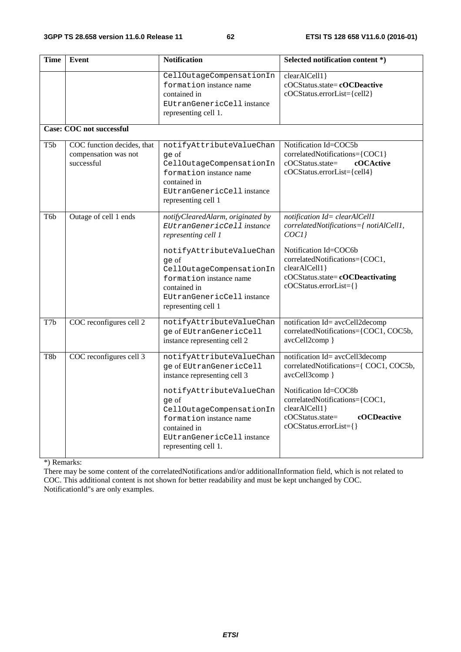| Time             | Event                                                            | <b>Notification</b>                                                                                                                                                                                | Selected notification content *)                                                                                                                                                                                         |
|------------------|------------------------------------------------------------------|----------------------------------------------------------------------------------------------------------------------------------------------------------------------------------------------------|--------------------------------------------------------------------------------------------------------------------------------------------------------------------------------------------------------------------------|
|                  |                                                                  | CellOutageCompensationIn<br>formation instance name<br>contained in<br>EUtranGenericCell instance<br>representing cell 1.                                                                          | clearAlCell1}<br>cOCStatus.state=cOCDeactive<br>cOCStatus.errorList={cell2}                                                                                                                                              |
|                  | <b>Case: COC not successful</b>                                  |                                                                                                                                                                                                    |                                                                                                                                                                                                                          |
| T <sub>5</sub> b | COC function decides, that<br>compensation was not<br>successful | notifyAttributeValueChan<br>qe of<br>CellOutageCompensationIn<br>formation instance name<br>contained in<br>EUtranGenericCell instance<br>representing cell 1                                      | Notification Id=COC5b<br>correlatedNotifications={COC1}<br>cOCStatus.state=<br>cOCActive<br>cOCStatus.errorList={cell4}                                                                                                  |
| T <sub>6</sub> b | Outage of cell 1 ends                                            | notifyClearedAlarm, originated by<br>EUtranGenericCell instance<br>representing cell 1<br>notifyAttributeValueChan<br>qe of<br>CellOutageCompensationIn<br>formation instance name<br>contained in | notification Id= clearAlCell1<br>correlatedNotifications={ notiAlCell1,<br>COCI<br>Notification Id=COC6b<br>correlatedNotifications={COC1,<br>clearAlCell1}<br>cOCStatus.state=cOCDeactivating<br>cOCStatus.errorList={} |
|                  |                                                                  | EUtranGenericCell instance<br>representing cell 1                                                                                                                                                  |                                                                                                                                                                                                                          |
| T7b              | COC reconfigures cell 2                                          | notifyAttributeValueChan<br>ge of EUtranGenericCell<br>instance representing cell 2                                                                                                                | notification Id= avcCell2decomp<br>correlatedNotifications={COC1, COC5b,<br>avcCell2comp }                                                                                                                               |
| T8b              | COC reconfigures cell 3                                          | notifyAttributeValueChan<br>ge of EUtranGenericCell<br>instance representing cell 3                                                                                                                | notification Id= avcCell3decomp<br>correlatedNotifications={ COC1, COC5b,<br>avcCell3comp }                                                                                                                              |
|                  |                                                                  | notifyAttributeValueChan<br>qe of<br>CellOutageCompensationIn<br>formation instance name<br>contained in<br>EUtranGenericCell instance<br>representing cell 1.                                     | Notification Id=COC8b<br>correlatedNotifications={COC1,<br>clearAlCell1}<br>cOCStatus.state=<br>cOCDeactive<br>cOCStatus.errorList={}                                                                                    |

\*) Remarks:

There may be some content of the correlatedNotifications and/or additionalInformation field, which is not related to COC. This additional content is not shown for better readability and must be kept unchanged by COC. NotificationId"s are only examples.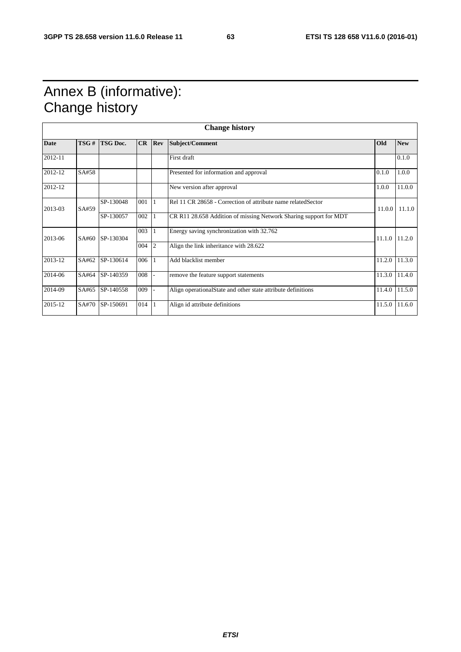## Annex B (informative): Change history

|             |                 |           |     |                                           | <b>Change history</b>                                             |               |            |
|-------------|-----------------|-----------|-----|-------------------------------------------|-------------------------------------------------------------------|---------------|------------|
| <b>Date</b> | TSG#            | TSG Doc.  | CR  | <b>Rev</b>                                | Subject/Comment                                                   | Old           | <b>New</b> |
| 2012-11     |                 |           |     |                                           | First draft                                                       |               | 0.1.0      |
| 2012-12     | SA#58           |           |     |                                           | Presented for information and approval                            | 0.1.0         | 1.0.0      |
| 2012-12     |                 |           |     |                                           | New version after approval                                        | 1.0.0         | 11.0.0     |
| 2013-03     | SA#59           | SP-130048 | 001 |                                           | Rel 11 CR 28658 - Correction of attribute name related Sector     | 11.0.0        | 11.1.0     |
|             |                 | SP-130057 | 002 |                                           | CR R11 28.658 Addition of missing Network Sharing support for MDT |               |            |
| 2013-06     | SA#60 SP-130304 | 003       |     | Energy saving synchronization with 32.762 |                                                                   | 11.1.0 11.2.0 |            |
|             |                 |           | 004 | 2                                         | Align the link inheritance with 28.622                            |               |            |
| 2013-12     | SA#62           | SP-130614 | 006 |                                           | Add blacklist member                                              | 11.2.0        | 11.3.0     |
| 2014-06     | SA#64           | SP-140359 | 008 |                                           | remove the feature support statements                             | 11.3.0        | 11.4.0     |
| 2014-09     | SA#65           | SP-140558 | 009 |                                           | Align operationalState and other state attribute definitions      | 11.4.0        | 11.5.0     |
| 2015-12     | SA#70           | SP-150691 | 014 |                                           | Align id attribute definitions                                    | 11.5.0        | 11.6.0     |